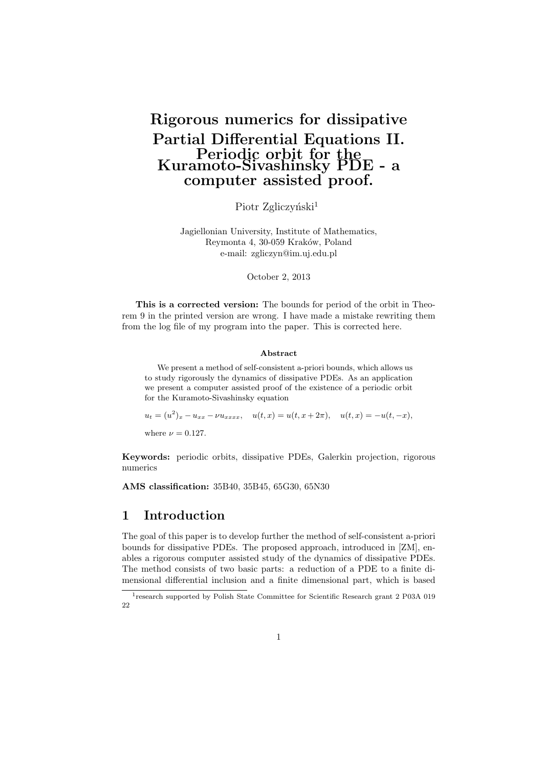# **Rigorous numerics for dissipative Partial Differential Equations II. Periodic orbit for the Kuramoto-Sivashinsky PDE - a computer assisted proof.**

Piotr Zgliczyński<sup>1</sup>

Jagiellonian University, Institute of Mathematics, Reymonta 4, 30-059 Kraków, Poland e-mail: zgliczyn@im.uj.edu.pl

October 2, 2013

**This is a corrected version:** The bounds for period of the orbit in Theorem 9 in the printed version are wrong. I have made a mistake rewriting them from the log file of my program into the paper. This is corrected here.

#### **Abstract**

We present a method of self-consistent a-priori bounds, which allows us to study rigorously the dynamics of dissipative PDEs. As an application we present a computer assisted proof of the existence of a periodic orbit for the Kuramoto-Sivashinsky equation

 $u_t = (u^2)_x - u_{xx} - \nu u_{xxxx}, \quad u(t,x) = u(t,x+2\pi), \quad u(t,x) = -u(t,-x),$ where  $\nu = 0.127$ .

**Keywords:** periodic orbits, dissipative PDEs, Galerkin projection, rigorous numerics

**AMS classification:** 35B40, 35B45, 65G30, 65N30

## **1 Introduction**

The goal of this paper is to develop further the method of self-consistent a-priori bounds for dissipative PDEs. The proposed approach, introduced in [ZM], enables a rigorous computer assisted study of the dynamics of dissipative PDEs. The method consists of two basic parts: a reduction of a PDE to a finite dimensional differential inclusion and a finite dimensional part, which is based

<sup>&</sup>lt;sup>1</sup> research supported by Polish State Committee for Scientific Research grant 2 P03A 019 22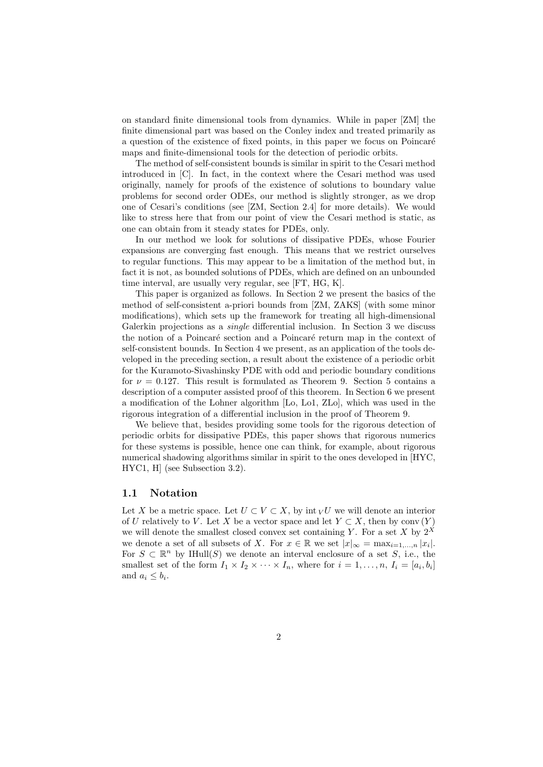on standard finite dimensional tools from dynamics. While in paper [ZM] the finite dimensional part was based on the Conley index and treated primarily as a question of the existence of fixed points, in this paper we focus on Poincaré maps and finite-dimensional tools for the detection of periodic orbits.

The method of self-consistent bounds is similar in spirit to the Cesari method introduced in [C]. In fact, in the context where the Cesari method was used originally, namely for proofs of the existence of solutions to boundary value problems for second order ODEs, our method is slightly stronger, as we drop one of Cesari's conditions (see [ZM, Section 2.4] for more details). We would like to stress here that from our point of view the Cesari method is static, as one can obtain from it steady states for PDEs, only.

In our method we look for solutions of dissipative PDEs, whose Fourier expansions are converging fast enough. This means that we restrict ourselves to regular functions. This may appear to be a limitation of the method but, in fact it is not, as bounded solutions of PDEs, which are defined on an unbounded time interval, are usually very regular, see [FT, HG, K].

This paper is organized as follows. In Section 2 we present the basics of the method of self-consistent a-priori bounds from [ZM, ZAKS] (with some minor modifications), which sets up the framework for treating all high-dimensional Galerkin projections as a *single* differential inclusion. In Section 3 we discuss the notion of a Poincaré section and a Poincaré return map in the context of self-consistent bounds. In Section 4 we present, as an application of the tools developed in the preceding section, a result about the existence of a periodic orbit for the Kuramoto-Sivashinsky PDE with odd and periodic boundary conditions for  $\nu = 0.127$ . This result is formulated as Theorem 9. Section 5 contains a description of a computer assisted proof of this theorem. In Section 6 we present a modification of the Lohner algorithm [Lo, Lo1, ZLo], which was used in the rigorous integration of a differential inclusion in the proof of Theorem 9.

We believe that, besides providing some tools for the rigorous detection of periodic orbits for dissipative PDEs, this paper shows that rigorous numerics for these systems is possible, hence one can think, for example, about rigorous numerical shadowing algorithms similar in spirit to the ones developed in [HYC, HYC1, H] (see Subsection 3.2).

## **1.1 Notation**

Let X be a metric space. Let  $U \subset V \subset X$ , by int  $V$  we will denote an interior of *U* relatively to *V*. Let *X* be a vector space and let  $Y \subset X$ , then by conv  $(Y)$ we will denote the smallest closed convex set containing *Y*. For a set *X* by  $2^{\overline{X}}$ we denote a set of all subsets of *X*. For  $x \in \mathbb{R}$  we set  $|x|_{\infty} = \max_{i=1,\dots,n} |x_i|$ . For  $S \subset \mathbb{R}^n$  by IHull(*S*) we denote an interval enclosure of a set *S*, i.e., the smallest set of the form  $I_1 \times I_2 \times \cdots \times I_n$ , where for  $i = 1, \ldots, n$ ,  $I_i = [a_i, b_i]$ and  $a_i \leq b_i$ .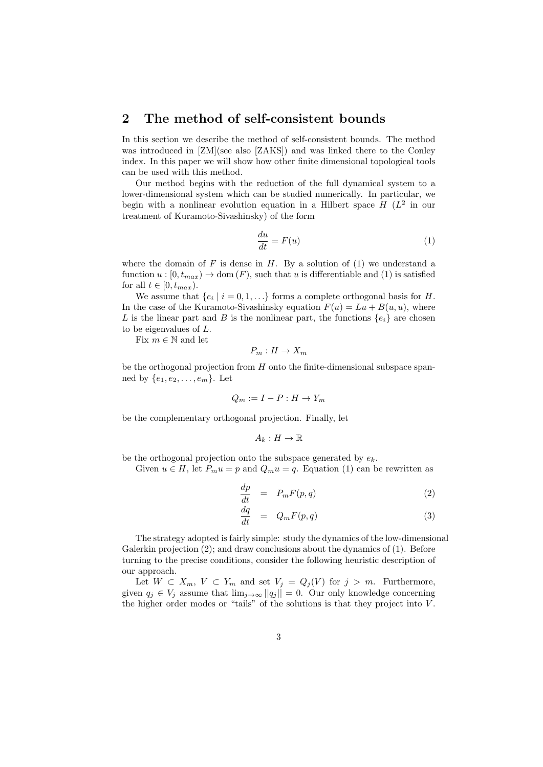## **2 The method of self-consistent bounds**

In this section we describe the method of self-consistent bounds. The method was introduced in [ZM](see also [ZAKS]) and was linked there to the Conley index. In this paper we will show how other finite dimensional topological tools can be used with this method.

Our method begins with the reduction of the full dynamical system to a lower-dimensional system which can be studied numerically. In particular, we begin with a nonlinear evolution equation in a Hilbert space  $H(L^2)$  in our treatment of Kuramoto-Sivashinsky) of the form

$$
\frac{du}{dt} = F(u) \tag{1}
$$

where the domain of  $F$  is dense in  $H$ . By a solution of  $(1)$  we understand a function  $u : [0, t_{max}) \to \text{dom}(F)$ , such that *u* is differentiable and (1) is satisfied for all  $t \in [0, t_{max})$ .

We assume that  $\{e_i \mid i = 0, 1, \ldots\}$  forms a complete orthogonal basis for *H*. In the case of the Kuramoto-Sivashinsky equation  $F(u) = Lu + B(u, u)$ , where *L* is the linear part and *B* is the nonlinear part, the functions  $\{e_i\}$  are chosen to be eigenvalues of *L*.

Fix  $m \in \mathbb{N}$  and let

$$
P_m: H \to X_m
$$

be the orthogonal projection from *H* onto the finite-dimensional subspace spanned by  $\{e_1, e_2, \ldots, e_m\}$ . Let

$$
Q_m := I - P : H \to Y_m
$$

be the complementary orthogonal projection. Finally, let

$$
A_k: H \to \mathbb{R}
$$

be the orthogonal projection onto the subspace generated by *ek*.

Given  $u \in H$ , let  $P_m u = p$  and  $Q_m u = q$ . Equation (1) can be rewritten as

$$
\frac{dp}{dt} = P_m F(p, q) \tag{2}
$$

$$
\frac{dq}{dt} = Q_m F(p, q) \tag{3}
$$

The strategy adopted is fairly simple: study the dynamics of the low-dimensional Galerkin projection (2); and draw conclusions about the dynamics of (1). Before turning to the precise conditions, consider the following heuristic description of our approach.

Let  $W \subset X_m$ ,  $V \subset Y_m$  and set  $V_j = Q_j(V)$  for  $j > m$ . Furthermore, given  $q_j \in V_j$  assume that  $\lim_{j\to\infty} ||q_j|| = 0$ . Our only knowledge concerning the higher order modes or "tails" of the solutions is that they project into *V* .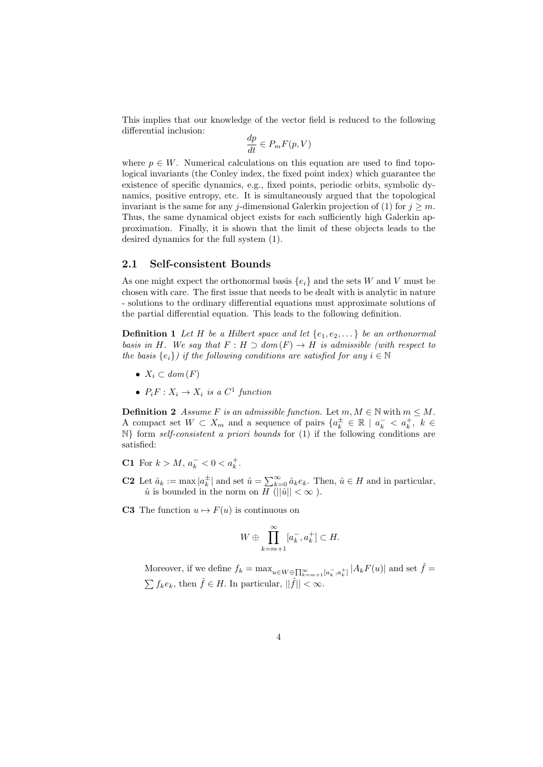This implies that our knowledge of the vector field is reduced to the following differential inclusion:

$$
\frac{dp}{dt}\in P_m F(p,V)
$$

where  $p \in W$ . Numerical calculations on this equation are used to find topological invariants (the Conley index, the fixed point index) which guarantee the existence of specific dynamics, e.g., fixed points, periodic orbits, symbolic dynamics, positive entropy, etc. It is simultaneously argued that the topological invariant is the same for any *j*-dimensional Galerkin projection of (1) for  $j \geq m$ . Thus, the same dynamical object exists for each sufficiently high Galerkin approximation. Finally, it is shown that the limit of these objects leads to the desired dynamics for the full system (1).

#### **2.1 Self-consistent Bounds**

As one might expect the orthonormal basis  ${e_i}$  and the sets *W* and *V* must be chosen with care. The first issue that needs to be dealt with is analytic in nature - solutions to the ordinary differential equations must approximate solutions of the partial differential equation. This leads to the following definition.

**Definition 1** Let *H* be a Hilbert space and let  $\{e_1, e_2, \ldots\}$  be an orthonormal *basis in H*. We say that  $F: H \supset dom(F) \rightarrow H$  *is admissible (with respect to the basis*  ${e_i}$ *) if the following conditions are satisfied for any*  $i \in \mathbb{N}$ 

- $X_i \subset dom(F)$
- $P_i F: X_i \to X_i$  *is a*  $C^1$  *function*

**Definition 2** *Assume F is an admissible function.* Let  $m, M \in \mathbb{N}$  with  $m \leq M$ . A compact set  $W \subset X_m$  and a sequence of pairs  $\{a_k^{\pm} \in \mathbb{R} \mid a_k^- < a_k^+, k \in$ N*}* form *self-consistent a priori bounds* for (1) if the following conditions are satisfied:

- **C1** For  $k > M$ ,  $a_k^- < 0 < a_k^+$ .
- **C2** Let  $\hat{a}_k := \max |a_k^{\pm}|$  and set  $\hat{u} = \sum_{k=0}^{\infty} \hat{a}_k e_k$ . Then,  $\hat{u} \in H$  and in particular,  $\hat{u}$  is bounded in the norm on *H* ( $||\hat{u}|| < \infty$ ).
- **C3** The function  $u \mapsto F(u)$  is continuous on

$$
W \oplus \prod_{k=m+1}^{\infty} [a_k^-, a_k^+] \subset H.
$$

Moreover, if we define  $f_k = \max_{u \in W \oplus \prod_{k=m+1}^{\infty} [a_k^-, a_k^+] |A_k F(u)|$  and set  $\hat{f} =$  $\sum f_k e_k$ , then  $\hat{f} \in H$ . In particular,  $||\hat{f}|| < \infty$ .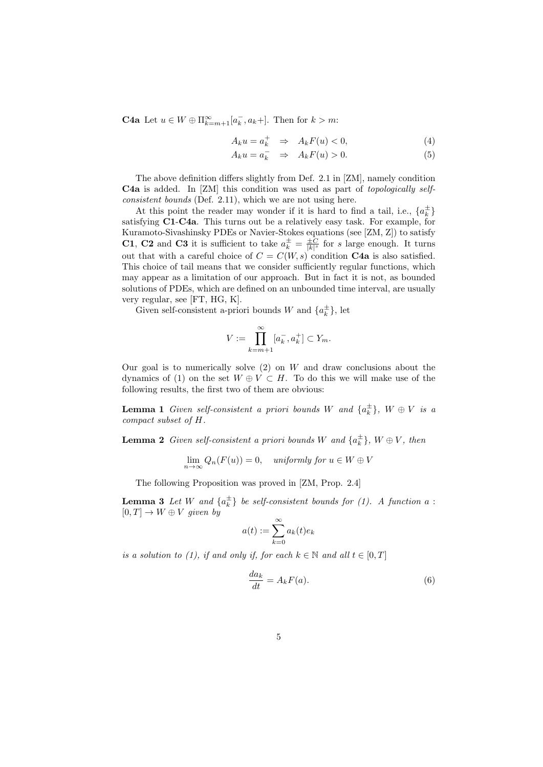**C4a** Let  $u \in W \oplus \Pi_{k=m+1}^{\infty} [a_k^-, a_k]$ . Then for  $k > m$ :

$$
A_k u = a_k^+ \quad \Rightarrow \quad A_k F(u) < 0,\tag{4}
$$

$$
A_k u = a_k^- \Rightarrow A_k F(u) > 0.
$$
 (5)

The above definition differs slightly from Def. 2.1 in [ZM], namely condition **C4a** is added. In [ZM] this condition was used as part of *topologically selfconsistent bounds* (Def. 2.11), which we are not using here.

At this point the reader may wonder if it is hard to find a tail, i.e.,  $\{a_k^{\pm}\}$ satisfying **C1**-**C4a**. This turns out be a relatively easy task. For example, for Kuramoto-Sivashinsky PDEs or Navier-Stokes equations (see [ZM, Z]) to satisfy **C1**, **C2** and **C3** it is sufficient to take  $a_k^{\pm} = \frac{\pm C}{|k|^s}$  for *s* large enough. It turns out that with a careful choice of  $C = C(W, s)$  condition **C4a** is also satisfied. This choice of tail means that we consider sufficiently regular functions, which may appear as a limitation of our approach. But in fact it is not, as bounded solutions of PDEs, which are defined on an unbounded time interval, are usually very regular, see [FT, HG, K].

Given self-consistent a-priori bounds *W* and  $\{a_k^{\pm}\}\$ , let

$$
V := \prod_{k=m+1}^{\infty} [a_k^-, a_k^+] \subset Y_m.
$$

Our goal is to numerically solve (2) on *W* and draw conclusions about the dynamics of (1) on the set  $W \oplus V \subset H$ . To do this we will make use of the following results, the first two of them are obvious:

**Lemma 1** *Given self-consistent a priori bounds W and*  $\{a_k^{\pm}\}, W \oplus V$  *is a compact subset of H.*

**Lemma 2** *Given self-consistent a priori bounds W and*  $\{a_k^{\pm}\}, W \oplus V$ , *then* 

$$
\lim_{n \to \infty} Q_n(F(u)) = 0, \quad \text{uniformly for } u \in W \oplus V
$$

The following Proposition was proved in [ZM, Prop. 2.4]

**Lemma 3** Let W and  $\{a_k^{\pm}\}\$ be self-consistent bounds for (1). A function a :  $[0, T] \rightarrow W \oplus V$  *given by* 

$$
a(t) := \sum_{k=0}^{\infty} a_k(t)e_k
$$

*is a solution to (1), if and only if, for each*  $k \in \mathbb{N}$  *and all*  $t \in [0, T]$ 

$$
\frac{da_k}{dt} = A_k F(a). \tag{6}
$$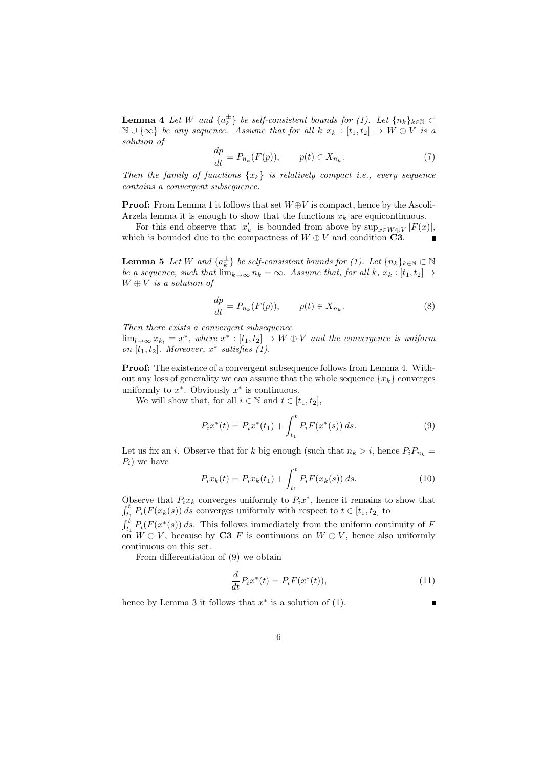**Lemma 4** *Let W and*  $\{a_k^{\pm}\}\$  *be self-consistent bounds for* (1). Let  $\{n_k\}_{k\in\mathbb{N}}\subset$ N ∪  $\{\infty\}$  *be any sequence.* Assume that for all  $k$   $x_k$  :  $[t_1, t_2]$   $\rightarrow$   $W \oplus V$  is a *solution of*

$$
\frac{dp}{dt} = P_{n_k}(F(p)), \qquad p(t) \in X_{n_k}.\tag{7}
$$

*Then the family of functions*  $\{x_k\}$  *is relatively compact i.e., every sequence contains a convergent subsequence.*

**Proof:** From Lemma 1 it follows that set *W ⊕V* is compact, hence by the Ascoli-Arzela lemma it is enough to show that the functions  $x_k$  are equicontinuous.

For this end observe that  $|x'_k|$  is bounded from above by  $\sup_{x \in W \oplus V} |F(x)|$ , which is bounded due to the compactness of  $W \oplus V$  and condition **C3**.

**Lemma 5** *Let W and*  $\{a_k^{\pm}\}\$  *be self-consistent bounds for* (1). Let  $\{n_k\}_{k\in\mathbb{N}}\subset\mathbb{N}$ *be a sequence, such that*  $\lim_{k\to\infty} n_k = \infty$ *. Assume that, for all*  $k, x_k : [t_1, t_2] \to$ *W ⊕ V is a solution of*

$$
\frac{dp}{dt} = P_{n_k}(F(p)), \qquad p(t) \in X_{n_k}.\tag{8}
$$

*Then there exists a convergent subsequence*

 $\lim_{l\to\infty} x_{k_l} = x^*$ , where  $x^* : [t_1, t_2] \to W \oplus V$  and the convergence is uniform *on*  $[t_1, t_2]$ *. Moreover,*  $x^*$  *satisfies*  $(1)$ *.* 

**Proof:** The existence of a convergent subsequence follows from Lemma 4. Without any loss of generality we can assume that the whole sequence  ${x_k}$  converges uniformly to  $x^*$ . Obviously  $x^*$  is continuous.

We will show that, for all  $i \in \mathbb{N}$  and  $t \in [t_1, t_2]$ ,

$$
P_i x^*(t) = P_i x^*(t_1) + \int_{t_1}^t P_i F(x^*(s)) ds.
$$
 (9)

Let us fix an *i*. Observe that for *k* big enough (such that  $n_k > i$ , hence  $P_i P_{n_k} =$  $P_i$  we have

$$
P_i x_k(t) = P_i x_k(t_1) + \int_{t_1}^t P_i F(x_k(s)) ds.
$$
 (10)

Observe that  $P_i x_k$  converges uniformly to  $P_i x^*$ , hence it remains to show that  $\int_{t_1}^{t} P_i(F(x_k(s)) \, ds$  converges uniformly with respect to  $t \in [t_1, t_2]$  to  $\int_{t_1}^{t} P_i(F(x^*(s)) ds$ . This follows immediately from the uniform continuity of *F* 

on  $W \oplus V$ , because by **C3** *F* is continuous on  $W \oplus V$ , hence also uniformly continuous on this set.

From differentiation of (9) we obtain

$$
\frac{d}{dt}P_i x^*(t) = P_i F(x^*(t)),
$$
\n(11)

ī

hence by Lemma 3 it follows that  $x^*$  is a solution of  $(1)$ .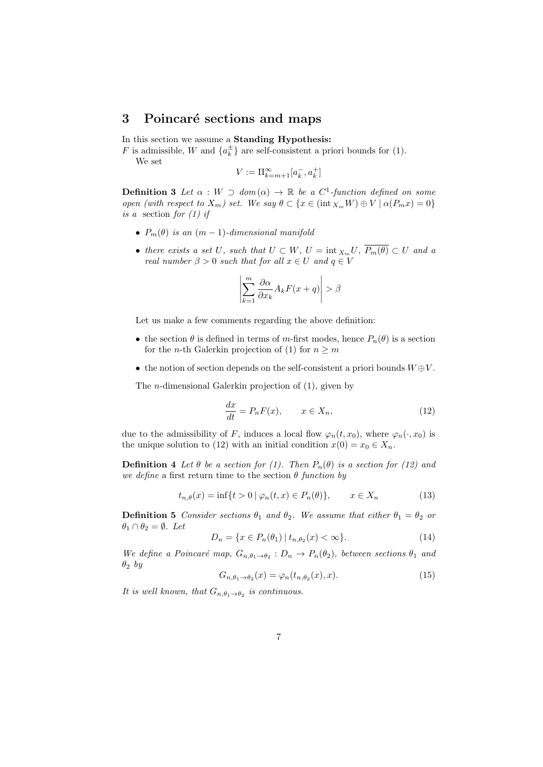## **3** Poincaré sections and maps

In this section we assume a **Standing Hypothesis:**

*F* is admissible, *W* and  $\{a_k^{\pm}\}\$ are self-consistent a priori bounds for (1).

We set

$$
V:=\Pi_{k=m+1}^\infty [a_k^-,a_k^+]
$$

**Definition 3** Let  $\alpha : W \supset dom(\alpha) \rightarrow \mathbb{R}$  be a  $C^1$ -function defined on some *open (with respect to*  $X_m$ *) set. We say*  $\theta \subset \{x \in (\text{int } X_m W) \oplus V \mid \alpha(P_m x) = 0\}$ *is a* section *for (1) if*

- $P_m(\theta)$  *is an*  $(m-1)$ *-dimensional manifold*
- *• there exists a set U, such that*  $U \subset W$ *,*  $U = \text{int } X_m U$ *,*  $\overline{P_m(\theta)} \subset U$  *and a real number*  $\beta > 0$  *such that for all*  $x \in U$  *and*  $q \in V$

$$
\left|\sum_{k=1}^m \frac{\partial \alpha}{\partial x_k} A_k F(x+q)\right| > \beta
$$

Let us make a few comments regarding the above definition:

- the section  $\theta$  is defined in terms of *m*-first modes, hence  $P_n(\theta)$  is a section for the *n*-th Galerkin projection of (1) for  $n \geq m$
- *•* the notion of section depends on the self-consistent a priori bounds *W ⊕V* .

The *n*-dimensional Galerkin projection of (1), given by

$$
\frac{dx}{dt} = P_n F(x), \qquad x \in X_n,\tag{12}
$$

due to the admissibility of *F*, induces a local flow  $\varphi_n(t, x_0)$ , where  $\varphi_n(\cdot, x_0)$  is the unique solution to (12) with an initial condition  $x(0) = x_0 \in X_n$ .

**Definition 4** *Let*  $\theta$  *be a section for (1). Then*  $P_n(\theta)$  *is a section for (12) and we define* a first return time to the section  $\theta$  *function by* 

$$
t_{n,\theta}(x) = \inf\{t > 0 \mid \varphi_n(t,x) \in P_n(\theta)\}, \qquad x \in X_n \tag{13}
$$

**Definition 5** *Consider sections*  $\theta_1$  *and*  $\theta_2$ *. We assume that either*  $\theta_1 = \theta_2$  *or*  $\theta_1 \cap \theta_2 = \emptyset$ *. Let* 

$$
D_n = \{ x \in P_n(\theta_1) \mid t_{n,\theta_2}(x) < \infty \}. \tag{14}
$$

*We define a Poincaré map,*  $G_{n, \theta_1 \to \theta_2}$ :  $D_n \to P_n(\theta_2)$ *, between sections*  $\theta_1$  *and θ*<sup>2</sup> *by*

$$
G_{n,\theta_1 \to \theta_2}(x) = \varphi_n(t_{n,\theta_2}(x), x). \tag{15}
$$

*It is well known, that*  $G_{n, \theta_1 \to \theta_2}$  *is continuous.*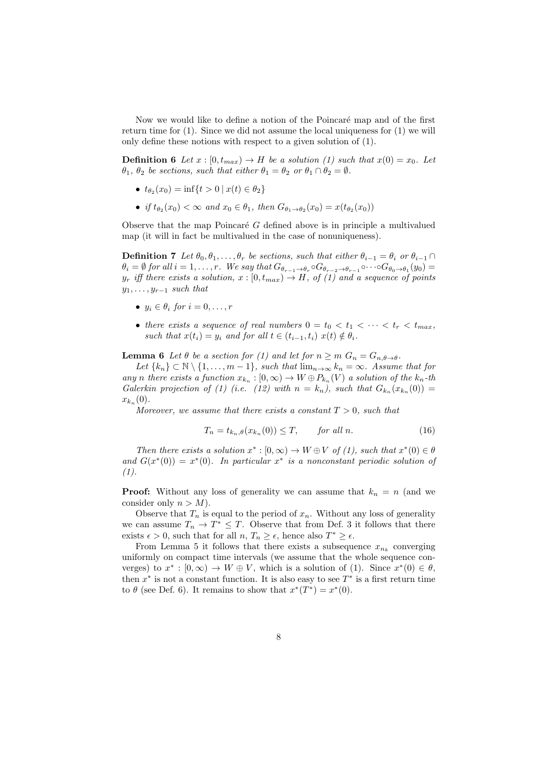Now we would like to define a notion of the Poincaré map and of the first return time for (1). Since we did not assume the local uniqueness for (1) we will only define these notions with respect to a given solution of (1).

**Definition 6** *Let*  $x : [0, t_{max}) \to H$  *be a solution (1) such that*  $x(0) = x_0$ *. Let*  $\theta_1$ ,  $\theta_2$  *be sections, such that either*  $\theta_1 = \theta_2$  *or*  $\theta_1 \cap \theta_2 = \emptyset$ *.* 

- $\bullet$  *t*<sub>*θ*2</sub></sub>(*x*<sub>0</sub>) = inf{*t* > 0 | *x*(*t*) ∈ *θ*<sub>2</sub>}
- *if*  $t_{\theta_2}(x_0) < \infty$  *and*  $x_0 \in \theta_1$ *, then*  $G_{\theta_1 \to \theta_2}(x_0) = x(t_{\theta_2}(x_0))$

Observe that the map Poincaré  $G$  defined above is in principle a multivalued map (it will in fact be multivalued in the case of nonuniqueness).

**Definition 7** *Let*  $\theta_0, \theta_1, \ldots, \theta_r$  *be sections, such that either*  $\theta_{i-1} = \theta_i$  *or*  $\theta_{i-1} \cap$  $\theta_i = \emptyset$  for all  $i = 1, ..., r$ . We say that  $G_{\theta_{r-1} \to \theta_r} \circ G_{\theta_{r-2} \to \theta_{r-1}} \circ \cdots \circ G_{\theta_0 \to \theta_1}(y_0) =$  $y_r$  *iff there exists a solution,*  $x : [0, t_{max}) \rightarrow H$ *, of (1) and a sequence of points y*1*, . . . , y<sup>r</sup>−*<sup>1</sup> *such that*

- $y_i \in \theta_i$  *for*  $i = 0, \ldots, r$
- there exists a sequence of real numbers  $0 = t_0 < t_1 < \cdots < t_r < t_{max}$ , *such that*  $x(t_i) = y_i$  *and for all*  $t \in (t_{i-1}, t_i)$   $x(t) \notin \theta_i$ .

**Lemma 6** *Let*  $\theta$  *be a section for* (1) *and let for*  $n \geq m$   $G_n = G_{n,\theta \to \theta}$ *.* 

*Let*  $\{k_n\} \subset \mathbb{N} \setminus \{1, \ldots, m-1\}$ *, such that*  $\lim_{n \to \infty} k_n = \infty$ *. Assume that for any n* there exists a function  $x_{k_n} : [0, \infty) \to W \oplus P_{k_n}(V)$  a solution of the  $k_n$ -th *Galerkin projection of (1) (i.e.* (12) with  $n = k_n$ ), such that  $G_{k_n}(x_{k_n}(0)) =$  $x_{k_n}(0)$ .

*Moreover, we assume that there exists a constant T >* 0*, such that*

$$
T_n = t_{k_n, \theta}(x_{k_n}(0)) \le T, \qquad \text{for all } n. \tag{16}
$$

*Then there exists a solution*  $x^* : [0, \infty) \to W \oplus V$  *of (1), such that*  $x^*(0) \in \theta$ *and*  $G(x^*(0)) = x^*(0)$ *. In particular*  $x^*$  *is a nonconstant periodic solution of (1).*

**Proof:** Without any loss of generality we can assume that  $k_n = n$  (and we consider only  $n > M$ ).

Observe that  $T_n$  is equal to the period of  $x_n$ . Without any loss of generality we can assume  $T_n \to T^* \leq T$ . Observe that from Def. 3 it follows that there exists  $\epsilon > 0$ , such that for all  $n, T_n \geq \epsilon$ , hence also  $T^* \geq \epsilon$ .

From Lemma 5 it follows that there exists a subsequence  $x_{n_k}$  converging uniformly on compact time intervals (we assume that the whole sequence converges) to  $x^* : [0, \infty) \to W \oplus V$ , which is a solution of (1). Since  $x^*(0) \in \theta$ , then  $x^*$  is not a constant function. It is also easy to see  $T^*$  is a first return time to  $\theta$  (see Def. 6). It remains to show that  $x^*(T^*) = x^*(0)$ .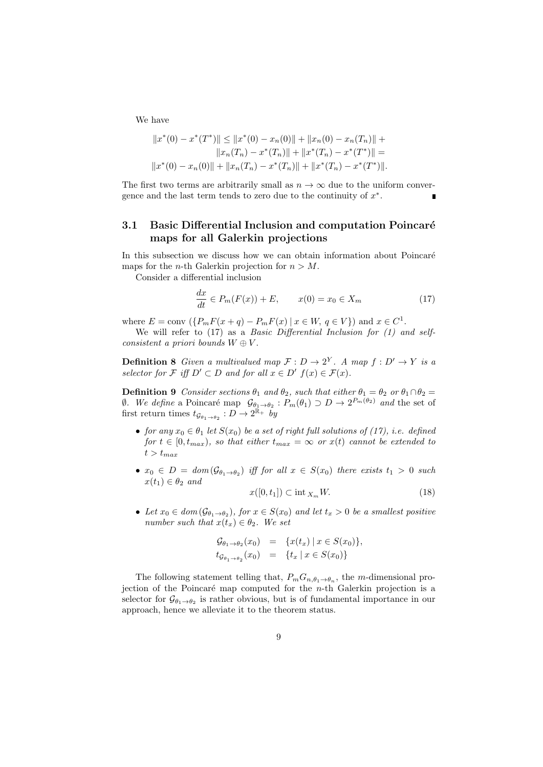We have

$$
||x^*(0) - x^*(T^*)|| \le ||x^*(0) - x_n(0)|| + ||x_n(0) - x_n(T_n)|| +
$$
  
\n
$$
||x_n(T_n) - x^*(T_n)|| + ||x^*(T_n) - x^*(T^*)|| =
$$
  
\n
$$
||x^*(0) - x_n(0)|| + ||x_n(T_n) - x^*(T_n)|| + ||x^*(T_n) - x^*(T^*)||.
$$

The first two terms are arbitrarily small as  $n \to \infty$  due to the uniform convergence and the last term tends to zero due to the continuity of *x ∗* .

## **3.1 Basic Differential Inclusion and computation Poincaré maps for all Galerkin projections**

In this subsection we discuss how we can obtain information about Poincaré maps for the *n*-th Galerkin projection for  $n > M$ .

Consider a differential inclusion

$$
\frac{dx}{dt} \in P_m(F(x)) + E, \qquad x(0) = x_0 \in X_m \tag{17}
$$

where  $E = \text{conv}(\{P_m F(x + q) - P_m F(x) | x \in W, q \in V\})$  and  $x \in C^1$ .

We will refer to (17) as a *Basic Differential Inclusion for (1) and selfconsistent a priori bounds*  $W \oplus V$ .

**Definition 8** *Given a multivalued map*  $\mathcal{F}: D \to 2^Y$ *. A map*  $f: D' \to Y$  *is a selector for*  $\mathcal{F}$  *iff*  $D' \subset D$  *and for all*  $x \in D'$   $f(x) \in \mathcal{F}(x)$ *.* 

**Definition 9** *Consider sections*  $\theta_1$  *and*  $\theta_2$ *, such that either*  $\theta_1 = \theta_2$  *or*  $\theta_1 \cap \theta_2 =$ *<i>Ø. We define* a Poincaré map  $\mathcal{G}_{\theta_1 \to \theta_2}$ :  $P_m(\theta_1) \supset D \to 2^{P_m(\theta_2)}$  and the set of first return times  $t_{\mathcal{G}_{\theta_1 \to \theta_2}} : D \to 2^{\mathbb{R}_+}$  by

- **•** *for any*  $x_0 \in \theta_1$  *let*  $S(x_0)$  *be a set of right full solutions of (17), i.e. defined for*  $t \in [0, t_{max})$ *, so that either*  $t_{max} = \infty$  *or*  $x(t)$  *cannot be extended to*  $t > t_{max}$
- $\bullet$  *x*<sub>0</sub> ∈ *D* = *dom* ( $\mathcal{G}_{\theta_1 \to \theta_2}$ ) *iff for all x* ∈ *S*(*x*<sub>0</sub>) *there exists t*<sub>1</sub> > 0 *such*  $x(t_1) \in \theta_2$  *and*

$$
x([0, t_1]) \subset \text{int }_{X_m} W. \tag{18}
$$

 $\bullet$  *Let*  $x_0 \in dom(\mathcal{G}_{\theta_1 \to \theta_2})$ *, for*  $x \in S(x_0)$  *and let*  $t_x > 0$  *be a smallest positive number such that*  $x(t_x) \in \theta_2$ *. We set* 

$$
\begin{array}{rcl}\n\mathcal{G}_{\theta_1 \to \theta_2}(x_0) & = & \{x(t_x) \mid x \in S(x_0)\}, \\
t_{\mathcal{G}_{\theta_1 \to \theta_2}}(x_0) & = & \{t_x \mid x \in S(x_0)\}\n\end{array}
$$

The following statement telling that,  $P_m G_{n, \theta_1 \to \theta_n}$ , the *m*-dimensional projection of the Poincaré map computed for the *n*-th Galerkin projection is a selector for  $\mathcal{G}_{\theta_1 \to \theta_2}$  is rather obvious, but is of fundamental importance in our approach, hence we alleviate it to the theorem status.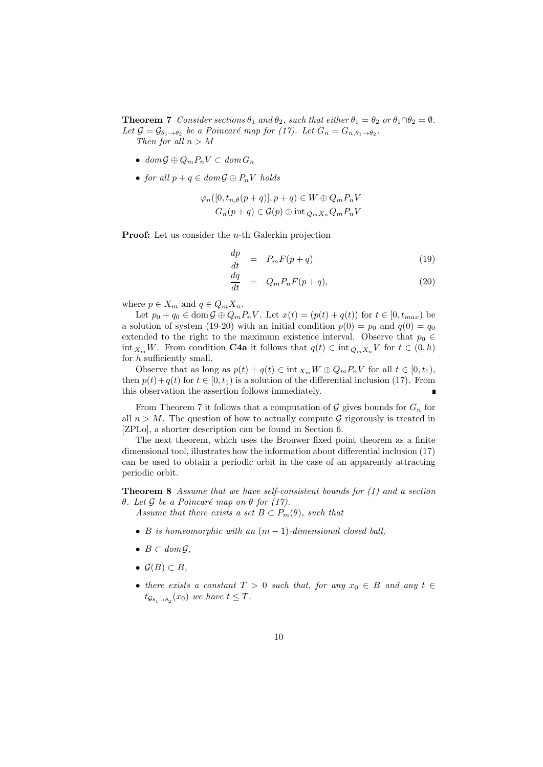**Theorem 7** *Consider sections*  $\theta_1$  *and*  $\theta_2$ *, such that either*  $\theta_1 = \theta_2$  *or*  $\theta_1 \cap \theta_2 = \emptyset$ *.* Let  $\mathcal{G} = \mathcal{G}_{\theta_1 \to \theta_2}$  be a Poincaré map for (17). Let  $G_n = G_{n,\theta_1 \to \theta_2}$ . *Then for all n > M*

- *• dom G ⊕ QmPnV ⊂ dom G<sup>n</sup>*
- *• for all p* + *q ∈ dom G ⊕ PnV holds*

$$
\varphi_n([0, t_{n,\theta}(p+q)], p+q) \in W \oplus Q_m P_n V
$$
  

$$
G_n(p+q) \in \mathcal{G}(p) \oplus \text{int }_{Q_m X_n} Q_m P_n V
$$

**Proof:** Let us consider the *n*-th Galerkin projection

$$
\frac{dp}{dt} = P_m F(p+q) \tag{19}
$$

$$
\frac{dq}{dt} = Q_m P_n F(p+q),\tag{20}
$$

where  $p \in X_m$  and  $q \in Q_m X_n$ .

Let  $p_0 + q_0 \in \text{dom}\,\mathcal{G} \oplus Q_m P_n V$ . Let  $x(t) = (p(t) + q(t))$  for  $t \in [0, t_{max})$  be a solution of system (19-20) with an initial condition  $p(0) = p_0$  and  $q(0) = q_0$ extended to the right to the maximum existence interval. Observe that  $p_0 \in$ int  $X_m W$ . From condition **C4a** it follows that  $q(t) \in \text{int } Q_m X_n V$  for  $t \in (0, h)$ for *h* sufficiently small.

Observe that as long as  $p(t) + q(t) \in \text{int } X_m W \oplus Q_m P_n V$  for all  $t \in [0, t_1)$ , then  $p(t) + q(t)$  for  $t \in [0, t_1)$  is a solution of the differential inclusion (17). From this observation the assertion follows immediately.

From Theorem 7 it follows that a computation of  $G$  gives bounds for  $G_n$  for all  $n > M$ . The question of how to actually compute  $G$  rigorously is treated in [ZPLo], a shorter description can be found in Section 6.

The next theorem, which uses the Brouwer fixed point theorem as a finite dimensional tool, illustrates how the information about differential inclusion (17) can be used to obtain a periodic orbit in the case of an apparently attracting periodic orbit.

**Theorem 8** *Assume that we have self-consistent bounds for (1) and a section*  $θ$ *. Let*  $G$  *be a Poincaré map on*  $θ$  *for (17).* 

*Assume that there exists a set*  $B \subset P_m(\theta)$ *, such that* 

- *• B is homeomorphic with an* (*m −* 1)*-dimensional closed ball,*
- *• B ⊂ dom G,*
- *• G*(*B*) *⊂ B,*
- *there exists a constant*  $T > 0$  *such that, for any*  $x_0 \in B$  *and any*  $t \in$  $t_{\mathcal{G}_{\theta_1 \to \theta_2}}(x_0)$  *we have*  $t \leq T$ *.*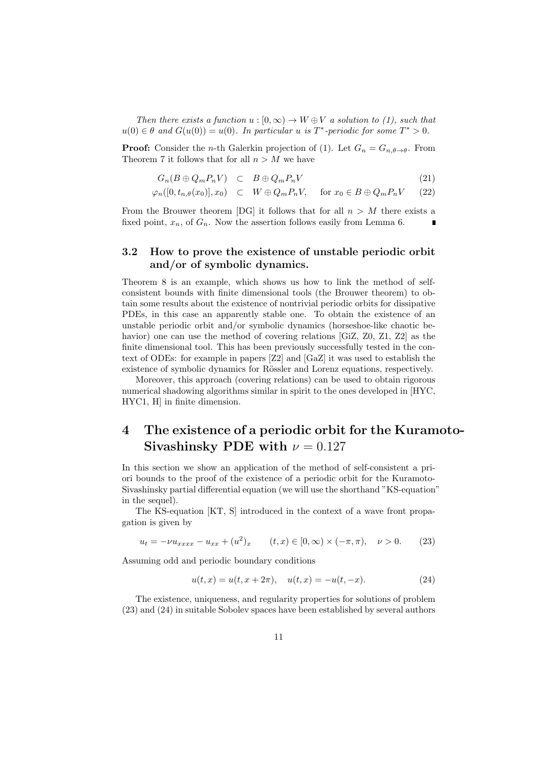*Then there exists a function*  $u : [0, \infty) \to W \oplus V$  *a solution to (1), such that*  $u(0) \in \theta$  and  $G(u(0)) = u(0)$ . In particular *u* is  $T^*$ -periodic for some  $T^* > 0$ .

**Proof:** Consider the *n*-th Galerkin projection of (1). Let  $G_n = G_n \, \theta \rightarrow \theta$ . From Theorem 7 it follows that for all  $n > M$  we have

$$
G_n(B \oplus Q_m P_n V) \quad \subset \quad B \oplus Q_m P_n V \tag{21}
$$

$$
\varphi_n([0, t_{n,\theta}(x_0)], x_0) \quad \subset \quad W \oplus Q_m P_n V, \quad \text{for } x_0 \in B \oplus Q_m P_n V \tag{22}
$$

From the Brouwer theorem [DG] it follows that for all  $n > M$  there exists a fixed point,  $x_n$ , of  $G_n$ . Now the assertion follows easily from Lemma 6.

## **3.2 How to prove the existence of unstable periodic orbit and/or of symbolic dynamics.**

Theorem 8 is an example, which shows us how to link the method of selfconsistent bounds with finite dimensional tools (the Brouwer theorem) to obtain some results about the existence of nontrivial periodic orbits for dissipative PDEs, in this case an apparently stable one. To obtain the existence of an unstable periodic orbit and/or symbolic dynamics (horseshoe-like chaotic behavior) one can use the method of covering relations [GiZ, Z0, Z1, Z2] as the finite dimensional tool. This has been previously successfully tested in the context of ODEs: for example in papers [Z2] and [GaZ] it was used to establish the existence of symbolic dynamics for Rössler and Lorenz equations, respectively.

Moreover, this approach (covering relations) can be used to obtain rigorous numerical shadowing algorithms similar in spirit to the ones developed in [HYC, HYC1, H] in finite dimension.

## **4 The existence of a periodic orbit for the Kuramoto-Sivashinsky PDE with**  $\nu = 0.127$

In this section we show an application of the method of self-consistent a priori bounds to the proof of the existence of a periodic orbit for the Kuramoto-Sivashinsky partial differential equation (we will use the shorthand "KS-equation" in the sequel).

The KS-equation [KT, S] introduced in the context of a wave front propagation is given by

$$
u_t = -\nu u_{xxxx} - u_{xx} + (u^2)_x \qquad (t, x) \in [0, \infty) \times (-\pi, \pi), \quad \nu > 0. \tag{23}
$$

Assuming odd and periodic boundary conditions

$$
u(t,x) = u(t, x + 2\pi), \quad u(t,x) = -u(t, -x). \tag{24}
$$

The existence, uniqueness, and regularity properties for solutions of problem (23) and (24) in suitable Sobolev spaces have been established by several authors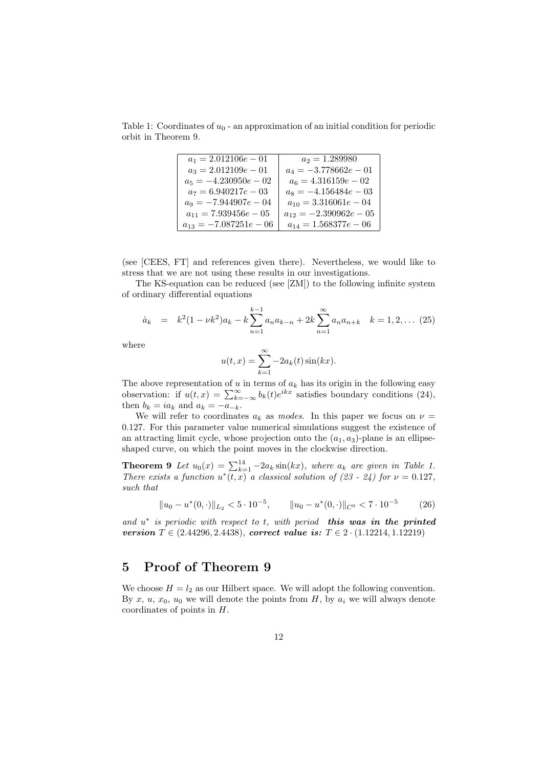Table 1: Coordinates of  $u_0$  - an approximation of an initial condition for periodic orbit in Theorem 9.

| $a_1 = 2.012106e - 01$     | $a_2 = 1.289980$           |
|----------------------------|----------------------------|
| $a_3 = 2.012109e - 01$     | $a_4 = -3.778662e - 01$    |
| $a_5 = -4.230950e - 02$    | $a_6 = 4.316159e - 02$     |
| $a_7 = 6.940217e - 03$     | $a_8 = -4.156484e - 03$    |
| $a_9 = -7.944907e - 04$    | $a_{10} = 3.316061e - 04$  |
| $a_{11} = 7.939456e - 05$  | $a_{12} = -2.390962e - 05$ |
| $a_{13} = -7.087251e - 06$ | $a_{14} = 1.568377e - 06$  |

(see [CEES, FT] and references given there). Nevertheless, we would like to stress that we are not using these results in our investigations.

The KS-equation can be reduced (see [ZM]) to the following infinite system of ordinary differential equations

$$
\dot{a}_k = k^2 (1 - \nu k^2) a_k - k \sum_{n=1}^{k-1} a_n a_{k-n} + 2k \sum_{n=1}^{\infty} a_n a_{n+k} \quad k = 1, 2, \dots (25)
$$

where

$$
u(t,x) = \sum_{k=1}^{\infty} -2a_k(t)\sin(kx).
$$

The above representation of  $u$  in terms of  $a_k$  has its origin in the following easy observation: if  $u(t, x) = \sum_{k=-\infty}^{\infty} b_k(t)e^{ikx}$  satisfies boundary conditions (24), then  $b_k = ia_k$  and  $a_k = -a_{-k}$ .

We will refer to coordinates  $a_k$  as *modes*. In this paper we focus on  $\nu$ 0*.*127. For this parameter value numerical simulations suggest the existence of an attracting limit cycle, whose projection onto the  $(a_1, a_3)$ -plane is an ellipseshaped curve, on which the point moves in the clockwise direction.

**Theorem 9** *Let*  $u_0(x) = \sum_{k=1}^{14} -2a_k \sin(kx)$ , where  $a_k$  are given in Table 1. *There exists a function*  $u^*(t, x)$  *a classical solution of* (23 - 24) for  $\nu = 0.127$ , *such that*

$$
||u_0 - u^*(0, \cdot)||_{L_2} < 5 \cdot 10^{-5}, \qquad ||u_0 - u^*(0, \cdot)||_{C^0} < 7 \cdot 10^{-5} \tag{26}
$$

*and u ∗ is periodic with respect to t, with period this was in the printed version*  $T \in (2.44296, 2.4438)$ *, correct value is:*  $T \in 2 \cdot (1.12214, 1.12219)$ 

## **5 Proof of Theorem 9**

We choose  $H = l_2$  as our Hilbert space. We will adopt the following convention. By  $x, u, x_0, u_0$  we will denote the points from  $H$ , by  $a_i$  we will always denote coordinates of points in *H*.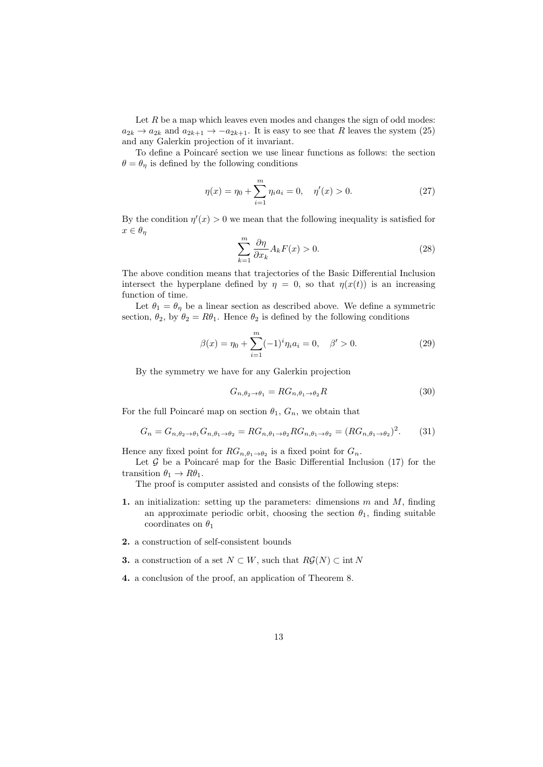Let  $R$  be a map which leaves even modes and changes the sign of odd modes:  $a_{2k} \rightarrow a_{2k}$  and  $a_{2k+1} \rightarrow -a_{2k+1}$ . It is easy to see that *R* leaves the system (25) and any Galerkin projection of it invariant.

To define a Poincaré section we use linear functions as follows: the section  $\theta = \theta_{\eta}$  is defined by the following conditions

$$
\eta(x) = \eta_0 + \sum_{i=1}^{m} \eta_i a_i = 0, \quad \eta'(x) > 0.
$$
 (27)

By the condition  $\eta'(x) > 0$  we mean that the following inequality is satisfied for  $x \in \theta_\eta$ 

$$
\sum_{k=1}^{m} \frac{\partial \eta}{\partial x_k} A_k F(x) > 0.
$$
 (28)

The above condition means that trajectories of the Basic Differential Inclusion intersect the hyperplane defined by  $\eta = 0$ , so that  $\eta(x(t))$  is an increasing function of time.

Let  $\theta_1 = \theta_n$  be a linear section as described above. We define a symmetric section,  $\theta_2$ , by  $\theta_2 = R\theta_1$ . Hence  $\theta_2$  is defined by the following conditions

$$
\beta(x) = \eta_0 + \sum_{i=1}^{m} (-1)^i \eta_i a_i = 0, \quad \beta' > 0.
$$
 (29)

By the symmetry we have for any Galerkin projection

$$
G_{n,\theta_2 \to \theta_1} = RG_{n,\theta_1 \to \theta_2}R
$$
\n(30)

For the full Poincaré map on section  $\theta_1$ ,  $G_n$ , we obtain that

$$
G_n = G_{n,\theta_2 \to \theta_1} G_{n,\theta_1 \to \theta_2} = RG_{n,\theta_1 \to \theta_2} RG_{n,\theta_1 \to \theta_2} = (RG_{n,\theta_1 \to \theta_2})^2.
$$
 (31)

Hence any fixed point for  $RG_{n,\theta_1 \to \theta_2}$  is a fixed point for  $G_n$ .

Let  $G$  be a Poincaré map for the Basic Differential Inclusion  $(17)$  for the transition  $\theta_1 \rightarrow R\theta_1$ .

The proof is computer assisted and consists of the following steps:

- **1.** an initialization: setting up the parameters: dimensions *m* and *M*, finding an approximate periodic orbit, choosing the section  $\theta_1$ , finding suitable coordinates on  $\theta_1$
- **2.** a construction of self-consistent bounds
- **3.** a construction of a set *N ⊂ W*, such that  $R\mathcal{G}(N)$  *⊂* int *N*
- **4.** a conclusion of the proof, an application of Theorem 8.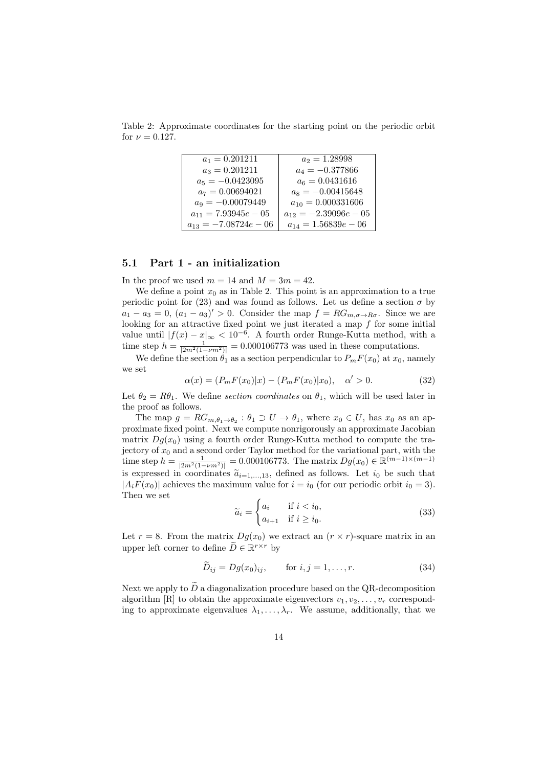Table 2: Approximate coordinates for the starting point on the periodic orbit for  $\nu = 0.127$ .

| $a_1 = 0.201211$          | $a_2 = 1.28998$           |
|---------------------------|---------------------------|
| $a_3 = 0.201211$          | $a_4 = -0.377866$         |
| $a_5 = -0.0423095$        | $a_6 = 0.0431616$         |
| $a_7 = 0.00694021$        | $a_8 = -0.00415648$       |
| $a_9 = -0.00079449$       | $a_{10} = 0.000331606$    |
| $a_{11} = 7.93945e - 05$  | $a_{12} = -2.39096e - 05$ |
| $a_{13} = -7.08724e - 06$ | $a_{14} = 1.56839e - 06$  |

#### **5.1 Part 1 - an initialization**

In the proof we used  $m = 14$  and  $M = 3m = 42$ .

We define a point  $x_0$  as in Table 2. This point is an approximation to a true periodic point for (23) and was found as follows. Let us define a section  $\sigma$  by  $a_1 - a_3 = 0$ ,  $(a_1 - a_3)' > 0$ . Consider the map  $f = RG_{m,\sigma \to R\sigma}$ . Since we are looking for an attractive fixed point we just iterated a map *f* for some initial value until  $|f(x) - x|_∞ < 10^{-6}$ . A fourth order Runge-Kutta method, with a time step  $h = \frac{1}{|2m^2(1 - \nu m^2)|} = 0.000106773$  was used in these computations.

We define the section  $\hat{\theta}_1$  as a section perpendicular to  $P_m F(x_0)$  at  $x_0$ , namely we set

$$
\alpha(x) = (P_m F(x_0)|x) - (P_m F(x_0)|x_0), \quad \alpha' > 0.
$$
\n(32)

Let  $\theta_2 = R\theta_1$ . We define *section coordinates* on  $\theta_1$ , which will be used later in the proof as follows.

The map  $g = RG_{m,\theta_1 \to \theta_2} : \theta_1 \supset U \to \theta_1$ , where  $x_0 \in U$ , has  $x_0$  as an approximate fixed point. Next we compute nonrigorously an approximate Jacobian matrix  $Dg(x_0)$  using a fourth order Runge-Kutta method to compute the trajectory of  $x_0$  and a second order Taylor method for the variational part, with the  $\lim_{m \to \infty} \text{step } h = \frac{1}{|2m^2(1-\nu m^2)|} = 0.000106773.$  The matrix  $Dg(x_0) \in \mathbb{R}^{(m-1)\times(m-1)}$ is expressed in coordinates  $\tilde{a}_{i=1,...,13}$ , defined as follows. Let  $i_0$  be such that  $|A_i F(x_0)|$  achieves the maximum value for  $i = i_0$  (for our periodic orbit  $i_0 = 3$ ). Then we set

$$
\widetilde{a}_i = \begin{cases} a_i & \text{if } i < i_0, \\ a_{i+1} & \text{if } i \ge i_0. \end{cases} \tag{33}
$$

Let  $r = 8$ . From the matrix  $Dq(x_0)$  we extract an  $(r \times r)$ -square matrix in an upper left corner to define  $\widetilde{D} \in \mathbb{R}^{r \times r}$  by

$$
\tilde{D}_{ij} = Dg(x_0)_{ij}, \qquad \text{for } i, j = 1, \dots, r. \tag{34}
$$

Next we apply to  $\widetilde{D}$  a diagonalization procedure based on the QR-decomposition algorithm [R] to obtain the approximate eigenvectors  $v_1, v_2, \ldots, v_r$  corresponding to approximate eigenvalues  $\lambda_1, \ldots, \lambda_r$ . We assume, additionally, that we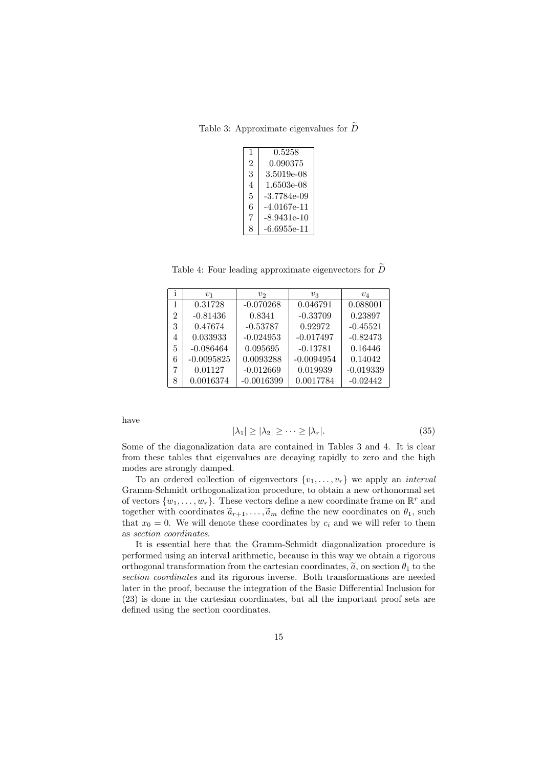Table 3: Approximate eigenvalues for  $\widetilde{D}$ 

| 1 | 0.5258      |
|---|-------------|
| 2 | 0.090375    |
| 3 | 3.5019e-08  |
| 4 | 1.6503e-08  |
| 5 | -3.7784e-09 |
| 6 | -4.0167e-11 |
| 7 | -8.9431e-10 |
| 8 | -6.6955e-11 |

Table 4: Four leading approximate eigenvectors for  $\tilde{D}$ 

| 1              | $v_1$        | v <sub>2</sub> | $v_3$        | $v_4$       |
|----------------|--------------|----------------|--------------|-------------|
| 1              | 0.31728      | $-0.070268$    | 0.046791     | 0.088001    |
| $\mathfrak{D}$ | $-0.81436$   | 0.8341         | $-0.33709$   | 0.23897     |
| 3              | 0.47674      | $-0.53787$     | 0.92972      | $-0.45521$  |
| 4              | 0.033933     | $-0.024953$    | $-0.017497$  | $-0.82473$  |
| 5              | $-0.086464$  | 0.095695       | $-0.13781$   | 0.16446     |
| 6              | $-0.0095825$ | 0.0093288      | $-0.0094954$ | 0.14042     |
| 7              | 0.01127      | $-0.012669$    | 0.019939     | $-0.019339$ |
| 8              | 0.0016374    | $-0.0016399$   | 0.0017784    | $-0.02442$  |

have

$$
|\lambda_1| \ge |\lambda_2| \ge \dots \ge |\lambda_r|. \tag{35}
$$

Some of the diagonalization data are contained in Tables 3 and 4. It is clear from these tables that eigenvalues are decaying rapidly to zero and the high modes are strongly damped.

To an ordered collection of eigenvectors  $\{v_1, \ldots, v_r\}$  we apply an *interval* Gramm-Schmidt orthogonalization procedure, to obtain a new orthonormal set of vectors  $\{w_1, \ldots, w_r\}$ . These vectors define a new coordinate frame on  $\mathbb{R}^r$  and together with coordinates  $\tilde{a}_{r+1}, \ldots, \tilde{a}_m$  define the new coordinates on  $\theta_1$ , such that  $x_0 = 0$ . We will denote these coordinates by  $c_i$  and we will refer to them as *section coordinates*.

It is essential here that the Gramm-Schmidt diagonalization procedure is performed using an interval arithmetic, because in this way we obtain a rigorous orthogonal transformation from the cartesian coordinates,  $\tilde{a}$ , on section  $\theta_1$  to the *section coordinates* and its rigorous inverse. Both transformations are needed later in the proof, because the integration of the Basic Differential Inclusion for (23) is done in the cartesian coordinates, but all the important proof sets are defined using the section coordinates.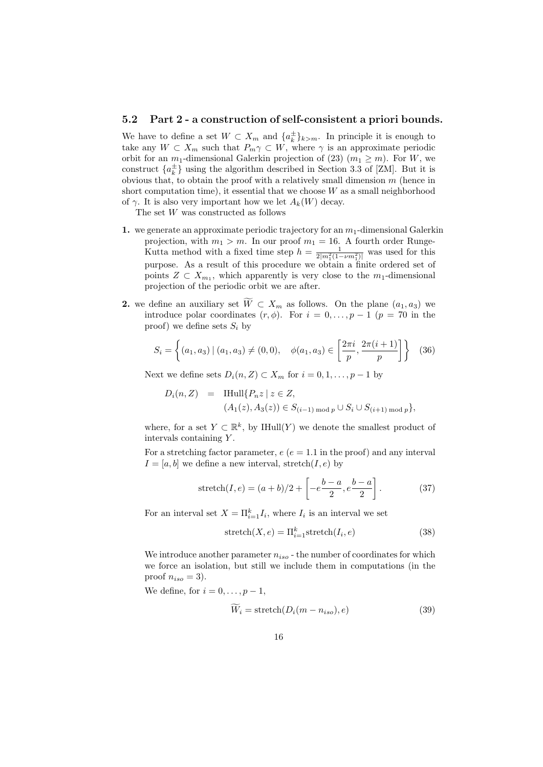## **5.2 Part 2 - a construction of self-consistent a priori bounds.**

We have to define a set  $W \subset X_m$  and  $\{a_k^{\pm}\}_{k>m}$ . In principle it is enough to take any  $W \subset X_m$  such that  $P_m \gamma \subset W$ , where  $\gamma$  is an approximate periodic orbit for an  $m_1$ -dimensional Galerkin projection of (23)  $(m_1 \geq m)$ . For *W*, we construct  $\{a_k^{\pm}\}\$  using the algorithm described in Section 3.3 of [ZM]. But it is obvious that, to obtain the proof with a relatively small dimension *m* (hence in short computation time), it essential that we choose *W* as a small neighborhood of  $\gamma$ . It is also very important how we let  $A_k(W)$  decay.

The set *W* was constructed as follows

- **1.** we generate an approximate periodic trajectory for an  $m_1$ -dimensional Galerkin projection, with  $m_1 > m$ . In our proof  $m_1 = 16$ . A fourth order Runge-Kutta method with a fixed time step  $h = \frac{1}{2|m_1^2(1 - \nu m_1^2)|}$  was used for this purpose. As a result of this procedure we obtain a finite ordered set of points  $Z \subset X_{m_1}$ , which apparently is very close to the  $m_1$ -dimensional projection of the periodic orbit we are after.
- **2.** we define an auxiliary set  $\widetilde{W} \subset X_m$  as follows. On the plane  $(a_1, a_3)$  we introduce polar coordinates  $(r, \phi)$ . For  $i = 0, \ldots, p-1$  ( $p = 70$  in the proof) we define sets  $S_i$  by

$$
S_i = \left\{ (a_1, a_3) \mid (a_1, a_3) \neq (0, 0), \quad \phi(a_1, a_3) \in \left[ \frac{2\pi i}{p}, \frac{2\pi (i+1)}{p} \right] \right\} \quad (36)
$$

Next we define sets  $D_i(n, Z) \subset X_m$  for  $i = 0, 1, \ldots, p-1$  by

$$
D_i(n, Z) = \text{Hull}\{P_n z \mid z \in Z, (A_1(z), A_3(z)) \in S_{(i-1) \text{ mod } p} \cup S_i \cup S_{(i+1) \text{ mod } p}\},
$$

where, for a set  $Y \subset \mathbb{R}^k$ , by IHull(*Y*) we denote the smallest product of intervals containing *Y* .

For a stretching factor parameter,  $e(e = 1.1$  in the proof) and any interval  $I = [a, b]$  we define a new interval, stretch $(I, e)$  by

$$
stretch(I, e) = (a + b)/2 + \left[ -e^{\frac{b-a}{2}}, e^{\frac{b-a}{2}} \right].
$$
 (37)

For an interval set  $X = \prod_{i=1}^{k} I_i$ , where  $I_i$  is an interval we set

$$
stretch(X, e) = \Pi_{i=1}^{k} stretch(I_i, e)
$$
\n(38)

We introduce another parameter  $n_{iso}$  - the number of coordinates for which we force an isolation, but still we include them in computations (in the proof  $n_{iso} = 3$ ).

We define, for  $i = 0, \ldots, p-1$ ,

$$
W_i = \text{stretch}(D_i(m - n_{iso}), e)
$$
\n(39)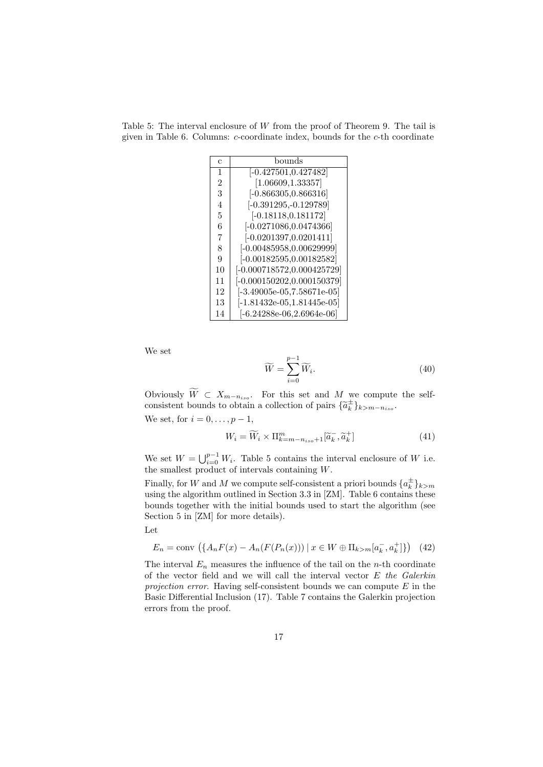Table 5: The interval enclosure of *W* from the proof of Theorem 9. The tail is given in Table 6. Columns: *c*-coordinate index, bounds for the *c*-th coordinate

| C              | bounds                        |
|----------------|-------------------------------|
| 1              | $[-0.427501, 0.427482]$       |
| $\overline{2}$ | [1.06609, 1.33357]            |
| 3              | $[-0.866305, 0.866316]$       |
| 4              | $[-0.391295, -0.129789]$      |
| 5              | $[-0.18118, 0.181172]$        |
| 6              | $[-0.0271086, 0.0474366]$     |
| 7              | $[-0.0201397, 0.0201411]$     |
| 8              | $[-0.00485958, 0.00629999]$   |
| 9              | $[-0.00182595, 0.00182582]$   |
| 10             | $[-0.000718572, 0.000425729]$ |
| 11             | $[-0.000150202, 0.000150379]$ |
| 12             | $[-3.49005e-05, 7.58671e-05]$ |
| 13             | $[-1.81432e-05, 1.81445e-05]$ |
| 14             | $[-6.24288e-06,2.6964e-06]$   |

We set

$$
\widetilde{W} = \sum_{i=0}^{p-1} \widetilde{W}_i.
$$
\n(40)

Obviously  $W$  ⊂  $X_{m-n_{iso}}$ . For this set and  $M$  we compute the selfconsistent bounds to obtain a collection of pairs  ${\{\tilde{a}_k^{\pm}\}}_{k>m-n_{iso}}$ .

We set, for  $i = 0, \ldots, p-1$ ,

$$
W_i = \widetilde{W}_i \times \Pi_{k=m-n_{iso}+1}^m[\widetilde{a}_k^-, \widetilde{a}_k^+]
$$
\n(41)

We set  $W = \bigcup_{i=0}^{p-1} W_i$ . Table 5 contains the interval enclosure of *W* i.e. the smallest product of intervals containing *W*.

Finally, for *W* and *M* we compute self-consistent a priori bounds  $\{a_k^{\pm}\}_{k>m}$ using the algorithm outlined in Section 3.3 in [ZM]. Table 6 contains these bounds together with the initial bounds used to start the algorithm (see Section 5 in [ZM] for more details).

Let

$$
E_n = \text{conv}\,\left(\{A_n F(x) - A_n(F(P_n(x))) \mid x \in W \oplus \Pi_{k>m}[a_k^-, a_k^+]\}\right) \tag{42}
$$

The interval  $E_n$  measures the influence of the tail on the *n*-th coordinate of the vector field and we will call the interval vector *E the Galerkin projection error*. Having self-consistent bounds we can compute *E* in the Basic Differential Inclusion (17). Table 7 contains the Galerkin projection errors from the proof.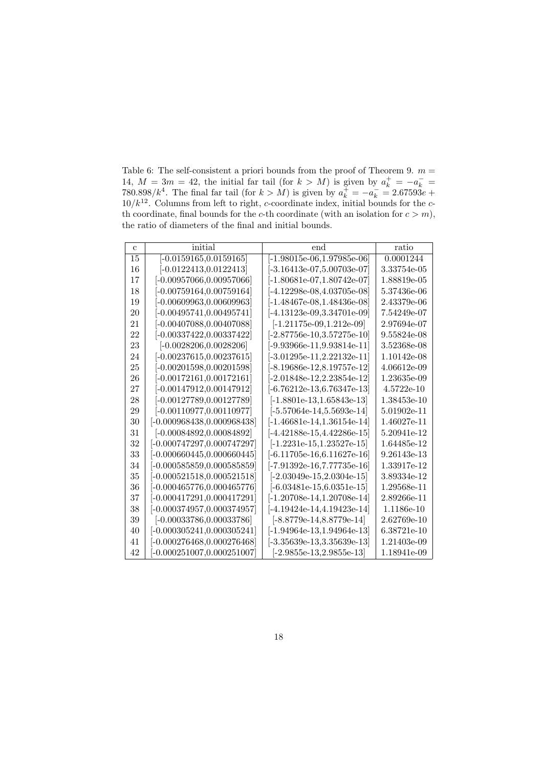Table 6: The self-consistent a priori bounds from the proof of Theorem 9.  $m =$ 14,  $M = 3m = 42$ , the initial far tail (for  $k > M$ ) is given by  $a_k^+ = -a_k^- =$ 780*.*898/ $k^4$ . The final far tail (for  $k > M$ ) is given by  $a_k^+ = -a_k^- = 2.67593e +$ */k*<sup>12</sup>. Columns from left to right, *c*-coordinate index, initial bounds for the *c*th coordinate, final bounds for the *c*-th coordinate (with an isolation for  $c > m$ ), the ratio of diameters of the final and initial bounds.

| с  | initial                        | end                           | ratio       |
|----|--------------------------------|-------------------------------|-------------|
| 15 | $[-0.0159165, 0.0159165]$      | $[-1.98015$ e-06,1.97985e-06] | 0.0001244   |
| 16 | $[-0.0122413, 0.0122413]$      | -3.16413e-07.5.00703e-07      | 3.33754e-05 |
| 17 | -0.00957066,0.00957066         | -1.80681e-07,1.80742e-07      | 1.88819e-05 |
| 18 | $[-0.00759164, 0.00759164]$    | -4.12298e-08,4.03705e-08      | 5.37436e-06 |
| 19 | -0.00609963,0.00609963         | -1.48467e-08,1.48436e-08      | 2.43379e-06 |
| 20 | -0.00495741,0.00495741         | -4.13123e-09,3.34701e-09      | 7.54249e-07 |
| 21 | $[-0.00407088, 0.00407088]$    | $[-1.21175e-09, 1.212e-09]$   | 2.97694e-07 |
| 22 | $[-0.00337422, 0.00337422]$    | $[-2.87756$ e-10,3.57275e-10  | 9.55824e-08 |
| 23 | $[-0.0028206, 0.0028206]$      | -9.93966e-11,9.93814e-11      | 3.52368e-08 |
| 24 | $[-0.00237615, 0.00237615]$    | $[-3.01295$ e-11,2.22132e-11  | 1.10142e-08 |
| 25 | -0.00201598,0.00201598         | -8.19686e-12.8.19757e-12      | 4.06612e-09 |
| 26 | $[-0.00172161, 0.00172161]$    | $[-2.01848e-12,2.23854e-12]$  | 1.23635e-09 |
| 27 | $[-0.00147912, 0.00147912]$    | -6.76212e-13,6.76347e-13      | 4.5722e-10  |
| 28 | -0.00127789,0.00127789         | -1.8801e-13,1.65843e-13       | 1.38453e-10 |
| 29 | $[-0.00110977, 0.00110977]$    | $[-5.57064e-14, 5.5693e-14]$  | 5.01902e-11 |
| 30 | -0.000968438,0.000968438       | -1.46681e-14,1.36154e-14      | 1.46027e-11 |
| 31 | $[-0.00084892, 0.00084892]$    | $[-4.42188e-15, 4.42286e-15]$ | 5.20941e-12 |
| 32 | -0.000747297,0.000747297       | $[-1.2231e-15, 1.23527e-15]$  | 1.64485e-12 |
| 33 | -0.000660445,0.000660445       | $[-6.11705e-16, 6.11627e-16]$ | 9.26143e-13 |
| 34 | -0.000585859,0.000585859       | -7.91392e-16,7.77735e-16      | 1.33917e-12 |
| 35 | -0.000521518,0.000521518       | $[-2.03049e-15,2.0304e-15]$   | 3.89334e-12 |
| 36 | $[-0.000465776, 0.000465776]$  | -6.03481e-15,6.0351e-15       | 1.29568e-11 |
| 37 | [-0.000417291,0.000417291]     | $[-1.20708e-14, 1.20708e-14]$ | 2.89266e-11 |
| 38 | -0.000374957,0.000374957       | -4.19424e-14,4.19423e-14      | 1.1186e-10  |
| 39 | $[-0.00033786, 0.00033786]$    | -8.8779e-14,8.8779e-14        | 2.62769e-10 |
| 40 | $[-0.000305241,\!0.000305241]$ | $[-1.94964e-13, 1.94964e-13]$ | 6.38721e-10 |
| 41 | -0.000276468,0.000276468       | -3.35639e-13,3.35639e-13      | 1.21403e-09 |
| 42 | -0.000251007,0.000251007       | $-2.9855e-13,2.9855e-13$      | 1.18941e-09 |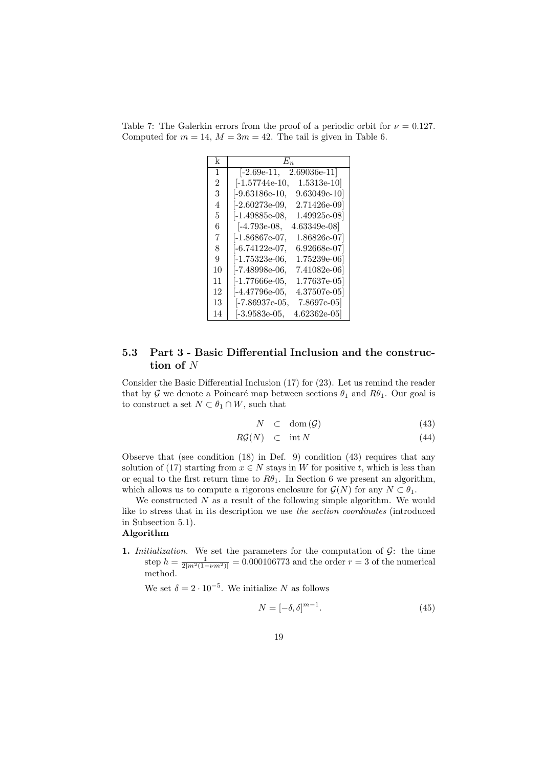| k  | $E_n$                            |
|----|----------------------------------|
| 1  | $-2.69e-11,$<br>2.69036e-11      |
| 2  | -1.57744e-10,<br>$1.5313$ e-10   |
| 3  | $[-9.63186e-10,$<br>9.63049e-10  |
| 4  | -2.60273e-09,<br>$2.71426$ e-09] |
| 5  | $1.49925e-08$<br> -1.49885e-08,  |
| 6  | -4.793e-08,<br>4.63349e-08       |
| 7  | -1.86867e-07,<br>1.86826e-07     |
| 8  | -6.74122e-07,<br>6.92668e-07     |
| 9  | -1.75323e-06,<br>1.75239e-06     |
| 10 | -7.48998e-06,<br>7.41082e-06     |
| 11 | -1.77666e-05,<br>1.77637e-05     |
| 12 | -4.47796e-05,<br>4.37507e-05     |
| 13 | -7.86937e-05,<br>7.8697e-05      |
| 14 | $ -3.9583e-05,$<br>4.62362e-05   |

Table 7: The Galerkin errors from the proof of a periodic orbit for  $\nu = 0.127$ . Computed for  $m = 14$ ,  $M = 3m = 42$ . The tail is given in Table 6.

## **5.3 Part 3 - Basic Differential Inclusion and the construction of** *N*

Consider the Basic Differential Inclusion (17) for (23). Let us remind the reader that by  $G$  we denote a Poincaré map between sections  $\theta_1$  and  $R\theta_1$ . Our goal is to construct a set  $N \subset \theta_1 \cap W$ , such that

$$
N \quad \subset \quad \text{dom}\,(\mathcal{G}) \tag{43}
$$

$$
R\mathcal{G}(N) \quad \subset \quad \text{int } N \tag{44}
$$

Observe that (see condition (18) in Def. 9) condition (43) requires that any solution of (17) starting from  $x \in N$  stays in W for positive *t*, which is less than or equal to the first return time to  $R\theta_1$ . In Section 6 we present an algorithm, which allows us to compute a rigorous enclosure for  $\mathcal{G}(N)$  for any  $N \subset \theta_1$ .

We constructed *N* as a result of the following simple algorithm. We would like to stress that in its description we use *the section coordinates* (introduced in Subsection 5.1).

### **Algorithm**

**1.** *Initialization.* We set the parameters for the computation of *G*: the time step  $h = \frac{1}{2|m^2(1 - \nu m^2)|} = 0.000106773$  and the order  $r = 3$  of the numerical method.

We set  $\delta = 2 \cdot 10^{-5}$ . We initialize *N* as follows

$$
N = [-\delta, \delta]^{m-1}.\tag{45}
$$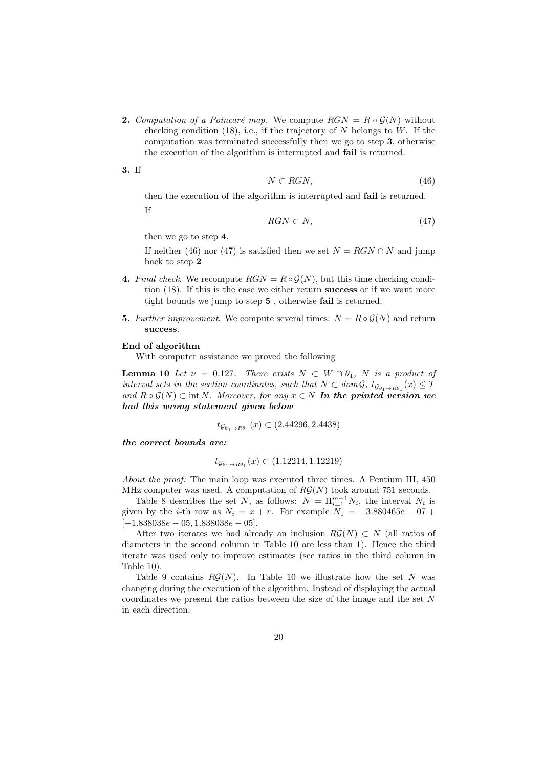**2.** *Computation of a Poincaré map.* We compute  $RGN = R \circ \mathcal{G}(N)$  without checking condition (18), i.e., if the trajectory of *N* belongs to *W*. If the computation was terminated successfully then we go to step **3**, otherwise the execution of the algorithm is interrupted and **fail** is returned.

**3.** If

$$
N \subset RGN,\tag{46}
$$

then the execution of the algorithm is interrupted and **fail** is returned. If

$$
RGN \subset N,\tag{47}
$$

then we go to step **4**.

If neither (46) nor (47) is satisfied then we set  $N = RGN \cap N$  and jump back to step **2**

- **4.** *Final check.* We recompute  $RGN = R \circ \mathcal{G}(N)$ , but this time checking condition (18). If this is the case we either return **success** or if we want more tight bounds we jump to step **5** , otherwise **fail** is returned.
- **5.** *Further improvement.* We compute several times:  $N = R \circ \mathcal{G}(N)$  and return **success**.

#### **End of algorithm**

With computer assistance we proved the following

**Lemma 10** *Let*  $\nu = 0.127$ *. There exists*  $N \subset W \cap \theta_1$ *,*  $N$  *is a product of interval sets in the section coordinates, such that*  $N \subset dom \mathcal{G}, t_{\mathcal{G}_{\theta_1} \to R\theta_1}(x) \leq T$ and  $R ∘ G(N) ⊂ int N$ *. Moreover, for any*  $x ∈ N$  *In the printed version we had this wrong statement given below*

$$
t_{\mathcal{G}_{\theta_1 \to R\theta_1}}(x) \subset (2.44296, 2.4438)
$$

*the correct bounds are:*

$$
t_{\mathcal{G}_{\theta_1 \to R\theta_1}}(x) \subset (1.12214, 1.12219)
$$

*About the proof:* The main loop was executed three times. A Pentium III, 450 MHz computer was used. A computation of  $R\mathcal{G}(N)$  took around 751 seconds.

Table 8 describes the set *N*, as follows:  $N = \prod_{i=1}^{m-1} N_i$ , the interval  $N_i$  is given by the *i*-th row as  $N_i = x + r$ . For example  $N_1 = -3.880465e - 07 +$ [*−*1*.*838038*e −* 05*,* 1*.*838038*e −* 05].

After two iterates we had already an inclusion  $RG(N) \subset N$  (all ratios of diameters in the second column in Table 10 are less than 1). Hence the third iterate was used only to improve estimates (see ratios in the third column in Table 10).

Table 9 contains  $R\mathcal{G}(N)$ . In Table 10 we illustrate how the set N was changing during the execution of the algorithm. Instead of displaying the actual coordinates we present the ratios between the size of the image and the set *N* in each direction.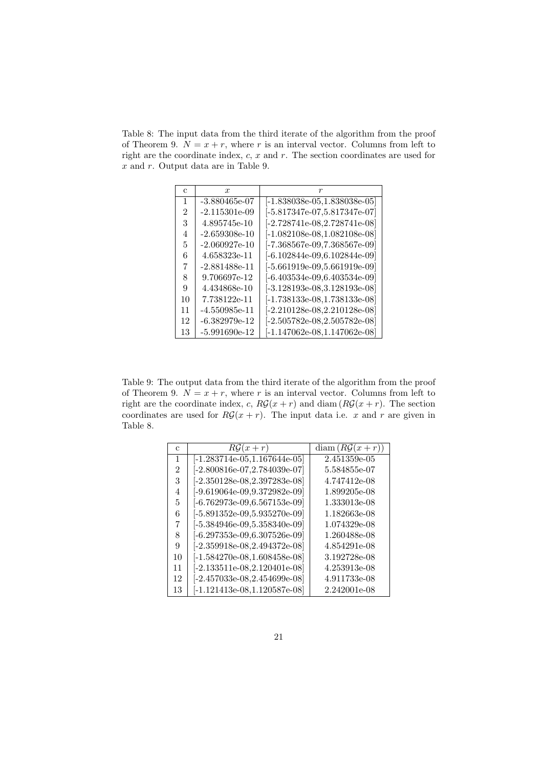Table 8: The input data from the third iterate of the algorithm from the proof of Theorem 9.  $N = x + r$ , where *r* is an interval vector. Columns from left to right are the coordinate index, *c*, *x* and *r*. The section coordinates are used for *x* and *r*. Output data are in Table 9.

| C  | x                   | r                                                     |
|----|---------------------|-------------------------------------------------------|
| 1  | -3.880465e-07       | $[-1.838038e-05, 1.838038e-05]$                       |
| 2  | -2.115301e-09       | [-5.817347e-07.5.817347e-07]                          |
| 3  | 4.895745e-10        | [-2.728741e-08,2.728741e-08]                          |
| 4  | -2.659308e-10       | $[-1.082108$ e-08, $1.082108$ e-08 $]$                |
| 5  | -2.060927e-10       | $[-7.368567 \text{e}{-09}, 7.368567 \text{e}{-09}]$   |
| 6  | 4.658323e-11        | [-6.102844e-09,6.102844e-09]                          |
| 7  | -2.881488e-11       | $[-5.661919$ e-09,5.661919e-09]                       |
| 8  | 9.706697e-12        | -6.403534e-09,6.403534e-09                            |
| 9  | 4.434868e-10        | [-3.128193e-08.3.128193e-08]                          |
| 10 | 7.738122e-11        | $[-1.738133$ e-08, $1.738133$ e-08 $]$                |
| 11 | -4.550985e-11       | $[-2.210128$ e-08,2.210128e-08]                       |
| 12 | $-6.382979$ e $-12$ | $[-2.505782\mathrm{e}{-08}, 2.505782\mathrm{e}{-08}]$ |
| 13 | $-5.991690e-12$     | [-1.147062e-08.1.147062e-08]                          |

Table 9: The output data from the third iterate of the algorithm from the proof of Theorem 9.  $N = x + r$ , where *r* is an interval vector. Columns from left to right are the coordinate index, *c*,  $R\mathcal{G}(x+r)$  and diam  $(R\mathcal{G}(x+r))$ . The section coordinates are used for  $R\mathcal{G}(x+r)$ . The input data i.e. *x* and *r* are given in Table 8.

| С  | $R\mathcal{G}(x+r)$             | $diam(RG(x+r))$ |
|----|---------------------------------|-----------------|
| 1  | $[-1.283714e-05, 1.167644e-05]$ | 2.451359e-05    |
| 2  | $[-2.800816e-07, 2.784039e-07]$ | 5.584855e-07    |
| 3  | $[-2.350128e-08, 2.397283e-08]$ | 4.747412e-08    |
| 4  | $[-9.619064e-09, 9.372982e-09]$ | 1.899205e-08    |
| 5  | $[-6.762973e-09, 6.567153e-09]$ | 1.333013e-08    |
| 6  | $[-5.891352e-09, 5.935270e-09]$ | 1.182663e-08    |
| 7  | $[-5.384946e-09, 5.358340e-09]$ | 1.074329e-08    |
| 8  | $[-6.297353e-09, 6.307526e-09]$ | 1.260488e-08    |
| 9  | $[-2.359918$ e-08,2.494372e-08] | 4.854291e-08    |
| 10 | $[-1.584270e-08, 1.608458e-08]$ | 3.192728e-08    |
| 11 | $[-2.133511e-08, 2.120401e-08]$ | 4.253913e-08    |
| 12 | $[-2.457033e-08, 2.454699e-08]$ | 4.911733e-08    |
| 13 | [-1.121413e-08,1.120587e-08]    | 2.242001e-08    |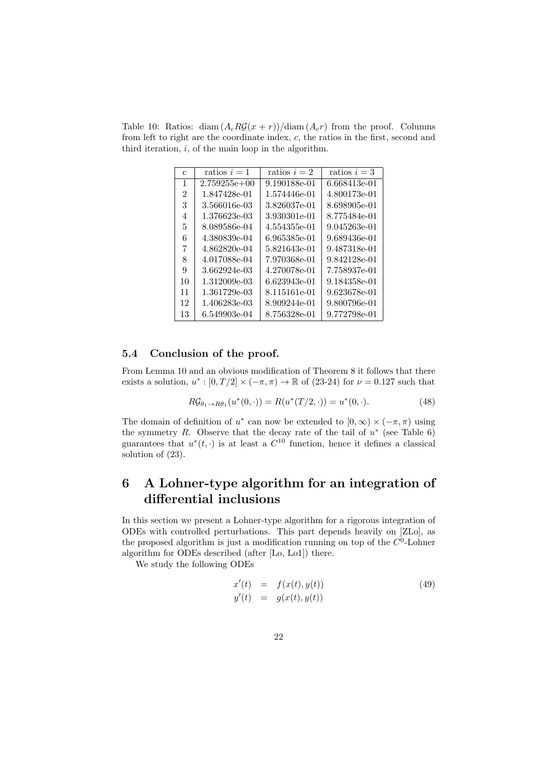Table 10: Ratios: diam  $(A_c R\mathcal{G}(x+r))/\text{diam}(A_c r)$  from the proof. Columns from left to right are the coordinate index, *c*, the ratios in the first, second and third iteration, *i*, of the main loop in the algorithm.

| С  | ratios $i=1$   | ratios $i=2$ | ratios $i=3$ |
|----|----------------|--------------|--------------|
| 1  | $2.759255e+00$ | 9.190188e-01 | 6.668413e-01 |
| 2  | 1.847428e-01   | 1.574446e-01 | 4.800173e-01 |
| 3  | 3.566016e-03   | 3.826037e-01 | 8.698905e-01 |
| 4  | 1.376623e-03   | 3.930301e-01 | 8.775484e-01 |
| 5  | 8.089586e-04   | 4.554355e-01 | 9.045263e-01 |
| 6  | 4.380839e-04   | 6.965385e-01 | 9.689436e-01 |
| 7  | 4.862820e-04   | 5.821643e-01 | 9.487318e-01 |
| 8  | 4.017088e-04   | 7.970368e-01 | 9.842128e-01 |
| 9  | 3.662924e-03   | 4.270078e-01 | 7.758937e-01 |
| 10 | 1.312009e-03   | 6.623943e-01 | 9.184358e-01 |
| 11 | 1.361729e-03   | 8.115161e-01 | 9.623678e-01 |
| 12 | 1.406283e-03   | 8.909244e-01 | 9.800796e-01 |
| 13 | 6.549903e-04   | 8.756328e-01 | 9.772798e-01 |

## **5.4 Conclusion of the proof.**

From Lemma 10 and an obvious modification of Theorem 8 it follows that there exists a solution,  $u^* : [0, T/2] \times (-\pi, \pi) \to \mathbb{R}$  of (23-24) for  $\nu = 0.127$  such that

$$
R\mathcal{G}_{\theta_1 \to R\theta_1}(u^*(0,\cdot)) = R(u^*(T/2,\cdot)) = u^*(0,\cdot). \tag{48}
$$

The domain of definition of  $u^*$  can now be extended to  $[0, \infty) \times (-\pi, \pi)$  using the symmetry *R*. Observe that the decay rate of the tail of  $u^*$  (see Table 6) guarantees that  $u^*(t, \cdot)$  is at least a  $C^{10}$  function, hence it defines a classical solution of (23).

## **6 A Lohner-type algorithm for an integration of differential inclusions**

In this section we present a Lohner-type algorithm for a rigorous integration of ODEs with controlled perturbations. This part depends heavily on [ZLo], as the proposed algorithm is just a modification running on top of the  $C<sup>0</sup>$ -Lohner algorithm for ODEs described (after [Lo, Lo1]) there.

We study the following ODEs

$$
x'(t) = f(x(t), y(t))
$$
  
\n
$$
y'(t) = g(x(t), y(t))
$$
\n(49)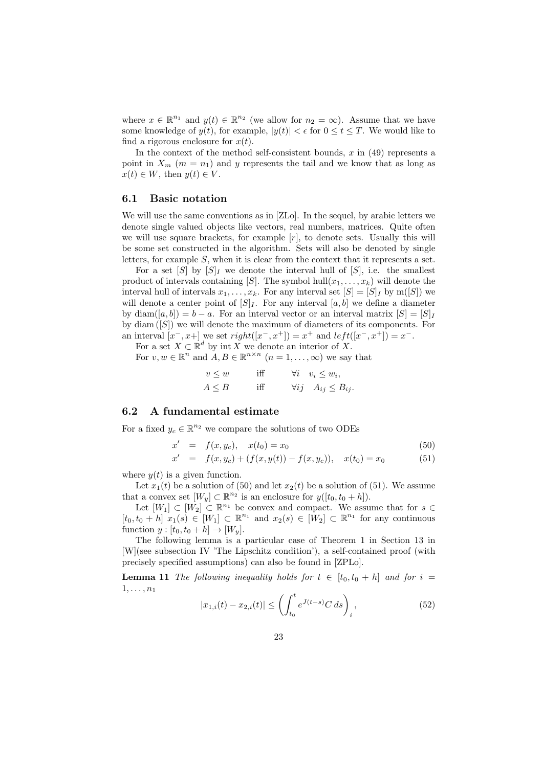where  $x \in \mathbb{R}^{n_1}$  and  $y(t) \in \mathbb{R}^{n_2}$  (we allow for  $n_2 = \infty$ ). Assume that we have some knowledge of  $y(t)$ , for example,  $|y(t)| < \epsilon$  for  $0 \le t \le T$ . We would like to find a rigorous enclosure for  $x(t)$ .

In the context of the method self-consistent bounds, *x* in (49) represents a point in  $X_m$  ( $m = n_1$ ) and  $y$  represents the tail and we know that as long as  $x(t) \in W$ , then  $y(t) \in V$ .

#### **6.1 Basic notation**

We will use the same conventions as in [ZLo]. In the sequel, by arabic letters we denote single valued objects like vectors, real numbers, matrices. Quite often we will use square brackets, for example [*r*], to denote sets. Usually this will be some set constructed in the algorithm. Sets will also be denoted by single letters, for example *S*, when it is clear from the context that it represents a set.

For a set  $[S]$  by  $[S]$ <sub>*I*</sub> we denote the interval hull of  $[S]$ , i.e. the smallest product of intervals containing  $[S]$ . The symbol hull $(x_1, \ldots, x_k)$  will denote the interval hull of intervals  $x_1, \ldots, x_k$ . For any interval set  $[S] = [S]_I$  by m( $[S]$ ) we will denote a center point of  $[S]_I$ . For any interval  $[a, b]$  we define a diameter by  $\text{diam}([a, b]) = b - a$ . For an interval vector or an interval matrix  $[S] = [S]_I$ by diam ([*S*]) we will denote the maximum of diameters of its components. For an interval  $[x^-, x^+]$  we set  $right([x^-, x^+]) = x^+$  and  $left([x^-, x^+]) = x^-$ .

For a set  $X \subset \mathbb{R}^d$  by int *X* we denote an interior of *X*.

For  $v, w \in \mathbb{R}^n$  and  $A, B \in \mathbb{R}^{n \times n}$   $(n = 1, \ldots, \infty)$  we say that

$$
v \le w \quad \text{iff} \quad \forall i \quad v_i \le w_i,
$$
  

$$
A \le B \quad \text{iff} \quad \forall ij \quad A_{ij} \le B_{ij}.
$$

## **6.2 A fundamental estimate**

For a fixed  $y_c \in \mathbb{R}^{n_2}$  we compare the solutions of two ODEs

$$
x' = f(x, y_c), \quad x(t_0) = x_0 \tag{50}
$$

$$
x' = f(x, y_c) + (f(x, y(t)) - f(x, y_c)), \quad x(t_0) = x_0 \tag{51}
$$

where  $y(t)$  is a given function.

Let  $x_1(t)$  be a solution of (50) and let  $x_2(t)$  be a solution of (51). We assume that a convex set  $[W_y] \subset \mathbb{R}^{n_2}$  is an enclosure for  $y([t_0, t_0 + h])$ .

Let  $[W_1] \subset [W_2] \subset \mathbb{R}^{n_1}$  be convex and compact. We assume that for  $s \in$  $[t_0, t_0 + h]$   $x_1(s) \in [W_1] \subset \mathbb{R}^{n_1}$  and  $x_2(s) \in [W_2] \subset \mathbb{R}^{n_1}$  for any continuous function  $y : [t_0, t_0 + h] \rightarrow [W_y]$ .

The following lemma is a particular case of Theorem 1 in Section 13 in [W](see subsection IV 'The Lipschitz condition'), a self-contained proof (with precisely specified assumptions) can also be found in [ZPLo].

**Lemma 11** *The following inequality holds for*  $t \in [t_0, t_0 + h]$  *and for*  $i =$  $1, \ldots, n_1$ 

$$
|x_{1,i}(t) - x_{2,i}(t)| \le \left(\int_{t_0}^t e^{J(t-s)} C \, ds\right)_i, \tag{52}
$$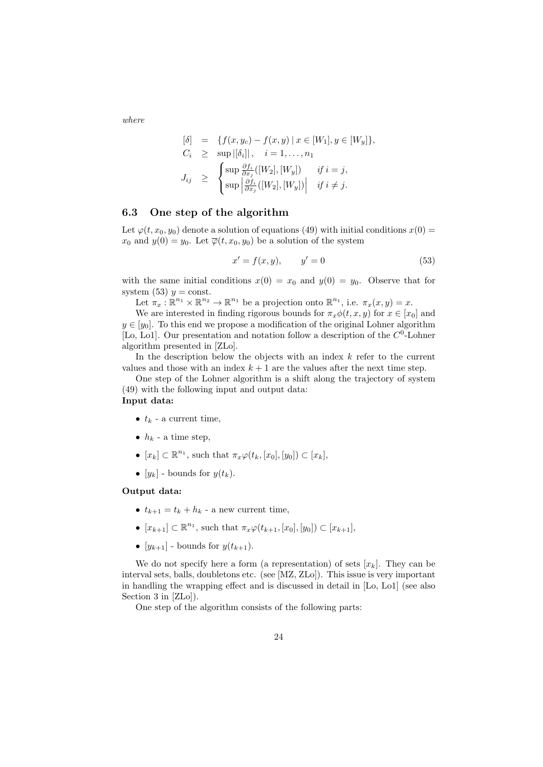*where*

$$
\begin{array}{rcl}\n[\delta] & = & \{f(x, y_c) - f(x, y) \mid x \in [W_1], y \in [W_y]\}, \\
C_i & \geq & \sup |[\delta_i]|, \quad i = 1, \dots, n_1 \\
J_{ij} & \geq & \left\{ \sup \frac{\partial f_i}{\partial x_j}([W_2], [W_y]) \right\} \quad \text{if } i = j, \\
J_{ij} & \geq & \left\{ \sup \left| \frac{\partial f_i}{\partial x_j}([W_2], [W_y]) \right| \quad \text{if } i \neq j.\n\end{array}\right.
$$

#### **6.3 One step of the algorithm**

Let  $\varphi(t, x_0, y_0)$  denote a solution of equations (49) with initial conditions  $x(0)$  = *x*<sub>0</sub> and  $y(0) = y_0$ . Let  $\overline{\varphi}(t, x_0, y_0)$  be a solution of the system

$$
x' = f(x, y), \qquad y' = 0 \tag{53}
$$

with the same initial conditions  $x(0) = x_0$  and  $y(0) = y_0$ . Observe that for system (53)  $y = \text{const.}$ 

Let  $\pi_x : \mathbb{R}^{n_1} \times \mathbb{R}^{n_2} \to \mathbb{R}^{n_1}$  be a projection onto  $\mathbb{R}^{n_1}$ , i.e.  $\pi_x(x, y) = x$ .

We are interested in finding rigorous bounds for  $\pi_x \phi(t, x, y)$  for  $x \in [x_0]$  and  $y \in [y_0]$ . To this end we propose a modification of the original Lohner algorithm [Lo, Lo1]. Our presentation and notation follow a description of the  $C^0$ -Lohner algorithm presented in [ZLo].

In the description below the objects with an index *k* refer to the current values and those with an index  $k+1$  are the values after the next time step.

One step of the Lohner algorithm is a shift along the trajectory of system (49) with the following input and output data: **Input data:**

- $t_k$  a current time,
- $h_k$  a time step,
- $\bullet$  [*x<sub>k</sub>*]  $\subset \mathbb{R}^{n_1}$ , such that  $\pi_x \varphi(t_k, [x_0], [y_0]) \subset [x_k]$ ,
- $[y_k]$  bounds for  $y(t_k)$ .

#### **Output data:**

- $t_{k+1} = t_k + h_k$  a new current time,
- $\bullet$  [ $x_{k+1}$ ] ⊂  $\mathbb{R}^{n_1}$ , such that  $\pi_x \varphi(t_{k+1}, [x_0], [y_0]) \subset [x_{k+1}]$ ,
- $[y_{k+1}]$  bounds for  $y(t_{k+1})$ .

We do not specify here a form (a representation) of sets  $[x_k]$ . They can be interval sets, balls, doubletons etc. (see [MZ, ZLo]). This issue is very important in handling the wrapping effect and is discussed in detail in [Lo, Lo1] (see also Section 3 in [ZLo]).

One step of the algorithm consists of the following parts: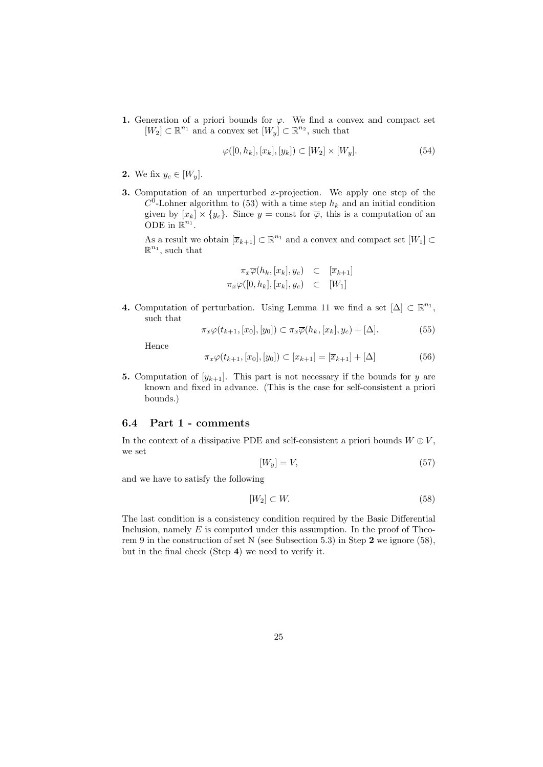**1.** Generation of a priori bounds for  $\varphi$ . We find a convex and compact set  $[W_2] \subset \mathbb{R}^{n_1}$  and a convex set  $[W_y] \subset \mathbb{R}^{n_2}$ , such that

$$
\varphi([0, h_k], [x_k], [y_k]) \subset [W_2] \times [W_y]. \tag{54}
$$

- **2.** We fix  $y_c \in [W_y]$ .
- **3.** Computation of an unperturbed *x*-projection. We apply one step of the  $C^0$ -Lohner algorithm to (53) with a time step  $h_k$  and an initial condition given by  $[x_k] \times \{y_c\}$ . Since  $y = \text{const}$  for  $\overline{\varphi}$ , this is a computation of an ODE in  $\mathbb{R}^{n_1}$ .

As a result we obtain  $[\overline{x}_{k+1}] \subset \mathbb{R}^{n_1}$  and a convex and compact set  $[W_1] \subset$  $\mathbb{R}^{n_1}$ , such that

$$
\pi_x \overline{\varphi}(h_k, [x_k], y_c) \quad \subset \quad [\overline{x}_{k+1}]
$$
  

$$
\pi_x \overline{\varphi}([0, h_k], [x_k], y_c) \quad \subset \quad [W_1]
$$

**4.** Computation of perturbation. Using Lemma 11 we find a set  $[\Delta] \subset \mathbb{R}^{n_1}$ , such that

$$
\pi_x \varphi(t_{k+1}, [x_0], [y_0]) \subset \pi_x \overline{\varphi}(h_k, [x_k], y_c) + [\Delta]. \tag{55}
$$

Hence

$$
\pi_x \varphi(t_{k+1}, [x_0], [y_0]) \subset [x_{k+1}] = [\overline{x}_{k+1}] + [\Delta]
$$
\n(56)

**5.** Computation of  $[y_{k+1}]$ . This part is not necessary if the bounds for *y* are known and fixed in advance. (This is the case for self-consistent a priori bounds.)

#### **6.4 Part 1 - comments**

In the context of a dissipative PDE and self-consistent a priori bounds  $W \oplus V$ , we set

$$
[W_y] = V,\t\t(57)
$$

and we have to satisfy the following

$$
[W_2] \subset W. \tag{58}
$$

The last condition is a consistency condition required by the Basic Differential Inclusion, namely *E* is computed under this assumption. In the proof of Theorem 9 in the construction of set N (see Subsection 5.3) in Step **2** we ignore (58), but in the final check (Step **4**) we need to verify it.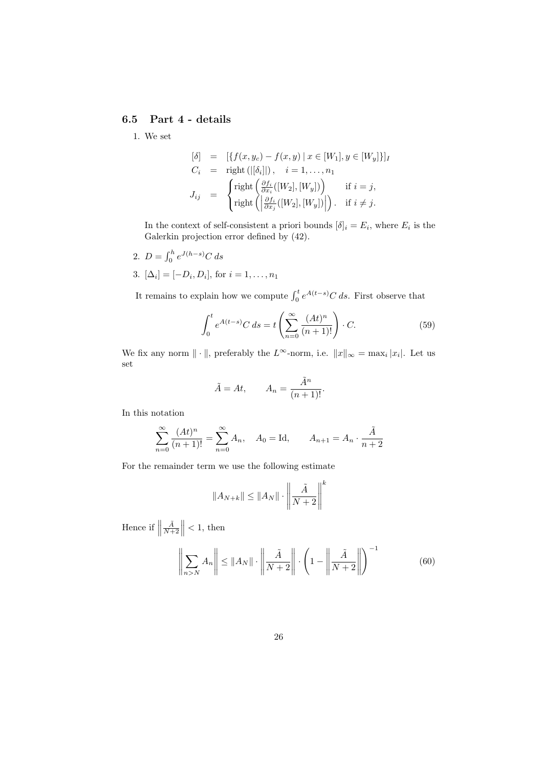## **6.5 Part 4 - details**

1. We set

$$
\begin{aligned}\n[\delta] &= \left[ \{ f(x, y_c) - f(x, y) \mid x \in [W_1], y \in [W_y] \} \right] \\
C_i &= \text{right} \left( \left| \delta_i \right| \right), \quad i = 1, \dots, n_1 \\
J_{ij} &= \begin{cases}\n\text{right} \left( \frac{\partial f_i}{\partial x_i}([W_2], [W_y]) \right) & \text{if } i = j, \\
\text{right} \left( \left| \frac{\partial f_i}{\partial x_j}([W_2], [W_y]) \right| \right). & \text{if } i \neq j.\n\end{cases}\n\end{aligned}
$$

In the context of self-consistent a priori bounds  $[\delta]_i = E_i$ , where  $E_i$  is the Galerkin projection error defined by (42).

- 2.  $D = \int_0^h e^{J(h-s)} C \, ds$
- 3.  $[\Delta_i] = [-D_i, D_i]$ , for  $i = 1, ..., n_1$

It remains to explain how we compute  $\int_0^t e^{A(t-s)} C ds$ . First observe that

$$
\int_0^t e^{A(t-s)} C \, ds = t \left( \sum_{n=0}^\infty \frac{(At)^n}{(n+1)!} \right) \cdot C. \tag{59}
$$

We fix any norm  $\|\cdot\|$ , preferably the  $L^{\infty}$ -norm, i.e.  $\|x\|_{\infty} = \max_{i} |x_i|$ . Let us set

$$
\tilde{A} = At, \qquad A_n = \frac{\tilde{A}^n}{(n+1)!}.
$$

In this notation

$$
\sum_{n=0}^{\infty} \frac{(At)^n}{(n+1)!} = \sum_{n=0}^{\infty} A_n, \quad A_0 = \text{Id}, \qquad A_{n+1} = A_n \cdot \frac{\tilde{A}}{n+2}
$$

For the remainder term we use the following estimate

$$
||A_{N+k}|| \le ||A_N|| \cdot \left\| \frac{\tilde{A}}{N+2} \right\|^k
$$

Hence if  $\parallel$  $\frac{\tilde{A}}{N+2}$  $\parallel$  < 1, then

$$
\left\| \sum_{n>N} A_n \right\| \le \|A_N\| \cdot \left\| \frac{\tilde{A}}{N+2} \right\| \cdot \left( 1 - \left\| \frac{\tilde{A}}{N+2} \right\| \right)^{-1} \tag{60}
$$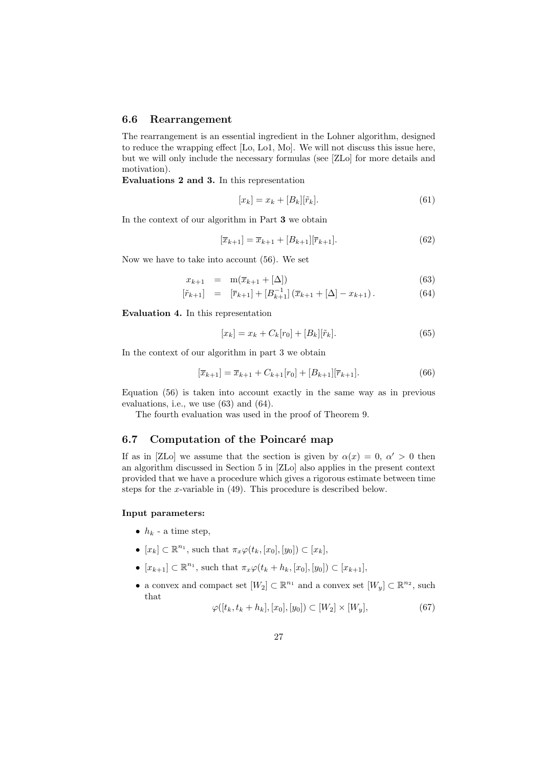#### **6.6 Rearrangement**

The rearrangement is an essential ingredient in the Lohner algorithm, designed to reduce the wrapping effect [Lo, Lo1, Mo]. We will not discuss this issue here, but we will only include the necessary formulas (see [ZLo] for more details and motivation).

**Evaluations 2 and 3.** In this representation

$$
[x_k] = x_k + [B_k][\tilde{r}_k].\tag{61}
$$

In the context of our algorithm in Part **3** we obtain

$$
[\overline{x}_{k+1}] = \overline{x}_{k+1} + [B_{k+1}][\overline{r}_{k+1}]. \tag{62}
$$

Now we have to take into account (56). We set

$$
x_{k+1} = \mathbf{m}(\overline{x}_{k+1} + [\Delta]) \tag{63}
$$

$$
[\tilde{r}_{k+1}] = [\bar{r}_{k+1}] + [B_{k+1}^{-1}] (\bar{x}_{k+1} + [\Delta] - x_{k+1}). \tag{64}
$$

**Evaluation 4.** In this representation

$$
[x_k] = x_k + C_k[r_0] + [B_k][\tilde{r}_k].
$$
\n(65)

In the context of our algorithm in part 3 we obtain

$$
[\overline{x}_{k+1}] = \overline{x}_{k+1} + C_{k+1}[r_0] + [B_{k+1}][\overline{r}_{k+1}].
$$
\n(66)

Equation (56) is taken into account exactly in the same way as in previous evaluations, i.e., we use (63) and (64).

The fourth evaluation was used in the proof of Theorem 9.

## **6.7** Computation of the Poincaré map

If as in [ZLo] we assume that the section is given by  $\alpha(x) = 0, \alpha' > 0$  then an algorithm discussed in Section 5 in [ZLo] also applies in the present context provided that we have a procedure which gives a rigorous estimate between time steps for the *x*-variable in (49). This procedure is described below.

#### **Input parameters:**

- $h_k$  a time step,
- $\bullet$  [*x<sub>k</sub>*]  $\subset \mathbb{R}^{n_1}$ , such that  $\pi_x \varphi(t_k, [x_0], [y_0]) \subset [x_k]$ ,
- $\bullet$  [ $x_{k+1}$ ] ⊂  $\mathbb{R}^{n_1}$ , such that  $\pi_x \varphi(t_k + h_k, [x_0], [y_0]) \subset [x_{k+1}]$ ,
- a convex and compact set  $[W_2] \subset \mathbb{R}^{n_1}$  and a convex set  $[W_y] \subset \mathbb{R}^{n_2}$ , such that

$$
\varphi([t_k, t_k + h_k], [x_0], [y_0]) \subset [W_2] \times [W_y], \tag{67}
$$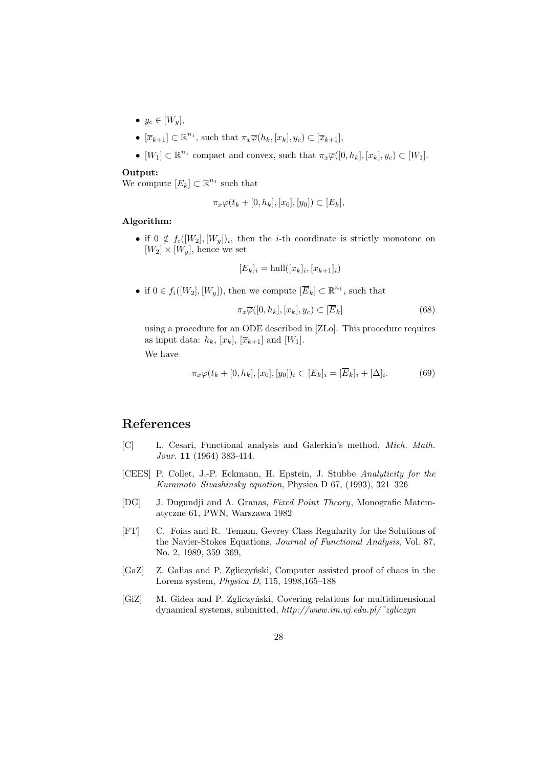- $y_c \in [W_u]$ ,
- $\bullet$  [ $\overline{x}_{k+1}$ ] ⊂  $\mathbb{R}^{n_1}$ , such that  $\pi_x \overline{\varphi}(h_k, [x_k], y_c) \subset [\overline{x}_{k+1}]$ ,
- $[W_1] \subset \mathbb{R}^{n_1}$  compact and convex, such that  $\pi_x \overline{\varphi}([0, h_k], [x_k], y_c) \subset [W_1]$ .

#### **Output:**

We compute  $[E_k] \subset \mathbb{R}^{n_1}$  such that

$$
\pi_x \varphi(t_k + [0, h_k], [x_0], [y_0]) \subset [E_k],
$$

## **Algorithm:**

• if  $0 \notin f_i([W_2], [W_y])_i$ , then the *i*-th coordinate is strictly monotone on  $[W_2] \times [W_y]$ , hence we set

$$
[E_k]_i = \text{hull}([x_k]_i, [x_{k+1}]_i)
$$

• if  $0 \in f_i([W_2], [W_y])$ , then we compute  $[\overline{E}_k] \subset \mathbb{R}^{n_1}$ , such that

$$
\pi_x \overline{\varphi}([0, h_k], [x_k], y_c) \subset [\overline{E}_k]
$$
\n(68)

using a procedure for an ODE described in [ZLo]. This procedure requires as input data:  $h_k$ ,  $[x_k]$ ,  $[\overline{x}_{k+1}]$  and  $[W_1]$ .

We have

$$
\pi_x \varphi(t_k + [0, h_k], [x_0], [y_0])_i \subset [E_k]_i = [\overline{E}_k]_i + [\Delta]_i.
$$
 (69)

## **References**

- [C] L. Cesari, Functional analysis and Galerkin's method, *Mich. Math. Jour.* **11** (1964) 383-414.
- [CEES] P. Collet, J.-P. Eckmann, H. Epstein, J. Stubbe *Analyticity for the Kuramoto–Sivashinsky equation*, Physica D 67, (1993), 321–326
- [DG] J. Dugundji and A. Granas, *Fixed Point Theory*, Monografie Matematyczne 61, PWN, Warszawa 1982
- [FT] C. Foias and R. Temam, Gevrey Class Regularity for the Solutions of the Navier-Stokes Equations, *Journal of Functional Analysis*, Vol. 87, No. 2, 1989, 359–369,
- [GaZ] Z. Galias and P. Zgliczyński, Computer assisted proof of chaos in the Lorenz system, *Physica D*, 115, 1998,165–188
- [GiZ] M. Gidea and P. Zgliczyński, Covering relations for multidimensional dynamical systems, submitted, *http://www.im.uj.edu.pl/˜zgliczyn*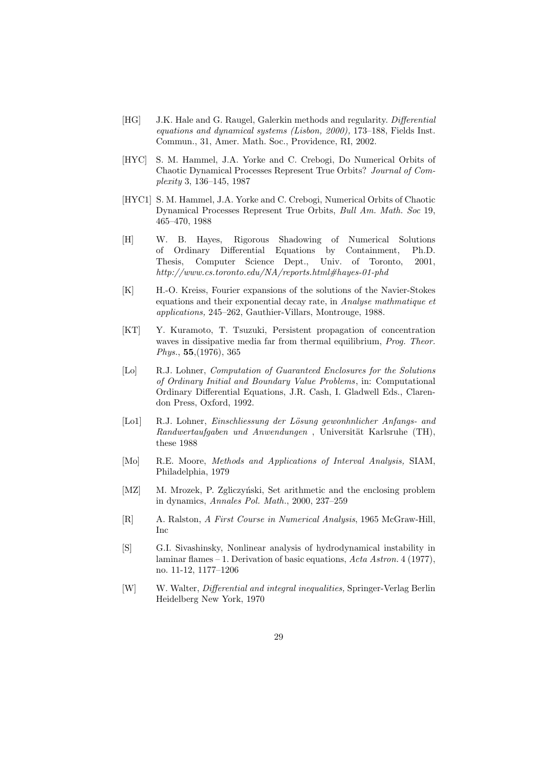- [HG] J.K. Hale and G. Raugel, Galerkin methods and regularity. *Differential equations and dynamical systems (Lisbon, 2000),* 173–188, Fields Inst. Commun., 31, Amer. Math. Soc., Providence, RI, 2002.
- [HYC] S. M. Hammel, J.A. Yorke and C. Crebogi, Do Numerical Orbits of Chaotic Dynamical Processes Represent True Orbits? *Journal of Complexity* 3, 136–145, 1987
- [HYC1] S. M. Hammel, J.A. Yorke and C. Crebogi, Numerical Orbits of Chaotic Dynamical Processes Represent True Orbits, *Bull Am. Math. Soc* 19, 465–470, 1988
- [H] W. B. Hayes, Rigorous Shadowing of Numerical Solutions of Ordinary Differential Equations by Containment, Ph.D. Thesis, Computer Science Dept., Univ. of Toronto, 2001, *http://www.cs.toronto.edu/NA/reports.html#hayes-01-phd*
- [K] H.-O. Kreiss, Fourier expansions of the solutions of the Navier-Stokes equations and their exponential decay rate, in *Analyse mathmatique et applications,* 245–262, Gauthier-Villars, Montrouge, 1988.
- [KT] Y. Kuramoto, T. Tsuzuki, Persistent propagation of concentration waves in dissipative media far from thermal equilibrium, *Prog. Theor. Phys.*, **55**,(1976), 365
- [Lo] R.J. Lohner, *Computation of Guaranteed Enclosures for the Solutions of Ordinary Initial and Boundary Value Problems*, in: Computational Ordinary Differential Equations, J.R. Cash, I. Gladwell Eds., Clarendon Press, Oxford, 1992.
- [Lo1] R.J. Lohner, *Einschliessung der L¨osung gewonhnlicher Anfangs- and Randwertaufgaben und Anwendungen*, Universität Karlsruhe (TH), these 1988
- [Mo] R.E. Moore, *Methods and Applications of Interval Analysis,* SIAM, Philadelphia, 1979
- [MZ] M. Mrozek, P. Zgliczyński, Set arithmetic and the enclosing problem in dynamics, *Annales Pol. Math.*, 2000, 237–259
- [R] A. Ralston, *A First Course in Numerical Analysis*, 1965 McGraw-Hill, Inc
- [S] G.I. Sivashinsky, Nonlinear analysis of hydrodynamical instability in laminar flames – 1. Derivation of basic equations, *Acta Astron.* 4 (1977), no. 11-12, 1177–1206
- [W] W. Walter, *Differential and integral inequalities,* Springer-Verlag Berlin Heidelberg New York, 1970